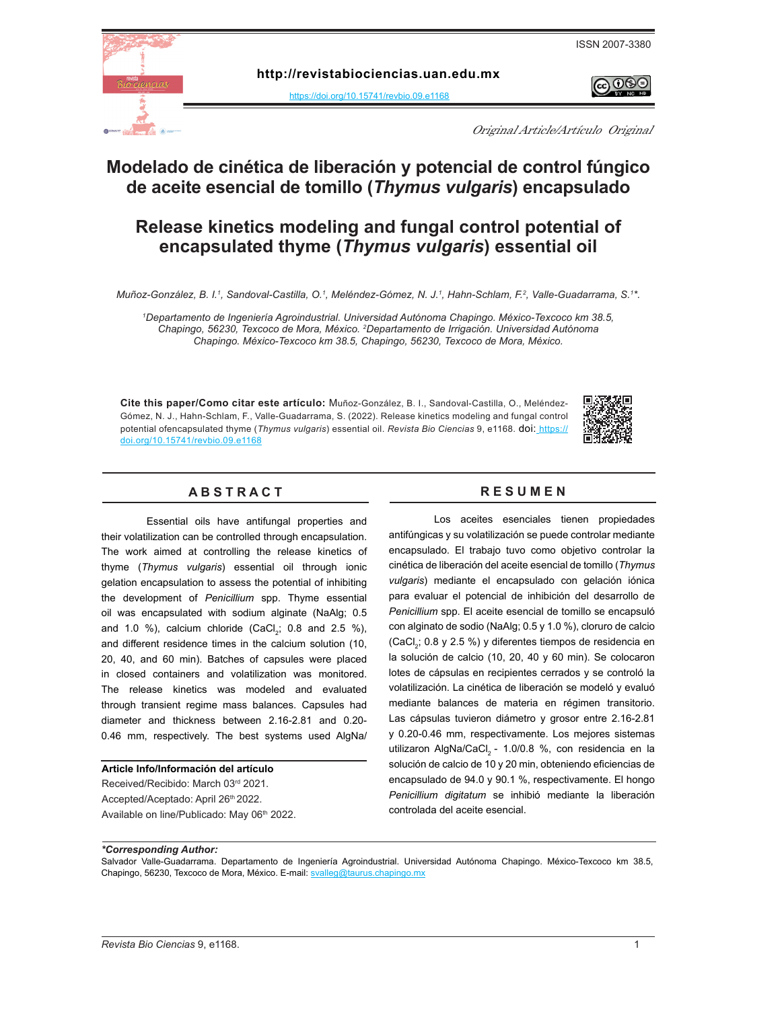

 $\Theta$ 



**http:[/](https://doi.org/10.15741/revbio.07.e875 )/revistabiociencias.uan.edu.mx** 

<https://doi.org/10.15741/revbio.09.e1168>

Original Article/Artículo Original

# **Modelado de cinética de liberación y potencial de control fúngico de aceite esencial de tomillo (***Thymus vulgaris***) encapsulado**

# **Release kinetics modeling and fungal control potential of encapsulated thyme (***Thymus vulgaris***) essential oil**

*Muñoz-González, B. I.<sup>1</sup>, Sandoval-Castilla, O.<sup>1</sup>, Meléndez-Gómez, N. J.<sup>1</sup>, Hahn-Schlam, F.<sup>2</sup>, Valle-Guadarrama, S.1\*.* 

*1 Departamento de Ingeniería Agroindustrial. Universidad Autónoma Chapingo. México-Texcoco km 38.5, Chapingo, 56230, Texcoco de Mora, México. 2 Departamento de Irrigación. Universidad Autónoma Chapingo. México-Texcoco km 38.5, Chapingo, 56230, Texcoco de Mora, México.*

**Cite this paper/Como citar este artículo:** Muñoz-González, B. I., Sandoval-Castilla, O., Meléndez-Gómez, N. J., Hahn-Schlam, F., Valle-Guadarrama, S. (2022). Release kinetics modeling and fungal control potential ofencapsulated thyme (*Thymus vulgaris*) essential oil. *Revista Bio Ciencias* 9, e1168. [doi:](doi: https://doi.org/10.15741/revbio.08.e982
) [https://]( https://doi.org/10.15741/revbio.09.e1168) [doi.org/10.15741/revbio.09.e1168]( https://doi.org/10.15741/revbio.09.e1168)



## A B S T R A C T RESUMEN

Essential oils have antifungal properties and their volatilization can be controlled through encapsulation. The work aimed at controlling the release kinetics of thyme (*Thymus vulgaris*) essential oil through ionic gelation encapsulation to assess the potential of inhibiting the development of *Penicillium* spp. Thyme essential oil was encapsulated with sodium alginate (NaAlg; 0.5 and 1.0 %), calcium chloride (CaCl<sub>2</sub>; 0.8 and 2.5 %), and different residence times in the calcium solution (10, 20, 40, and 60 min). Batches of capsules were placed in closed containers and volatilization was monitored. The release kinetics was modeled and evaluated through transient regime mass balances. Capsules had diameter and thickness between 2.16-2.81 and 0.20- 0.46 mm, respectively. The best systems used AlgNa/

#### **Article Info/Información del artículo**

Received/Recibido: March 03rd 2021. Accepted/Aceptado: April 26th 2022. Available on line/Publicado: May 06th 2022.

Los aceites esenciales tienen propiedades antifúngicas y su volatilización se puede controlar mediante encapsulado. El trabajo tuvo como objetivo controlar la cinética de liberación del aceite esencial de tomillo (*Thymus vulgaris*) mediante el encapsulado con gelación iónica para evaluar el potencial de inhibición del desarrollo de *Penicillium* spp. El aceite esencial de tomillo se encapsuló con alginato de sodio (NaAlg; 0.5 y 1.0 %), cloruro de calcio (CaCl<sub>2</sub>; 0.8 y 2.5 %) y diferentes tiempos de residencia en la solución de calcio (10, 20, 40 y 60 min). Se colocaron lotes de cápsulas en recipientes cerrados y se controló la volatilización. La cinética de liberación se modeló y evaluó mediante balances de materia en régimen transitorio. Las cápsulas tuvieron diámetro y grosor entre 2.16-2.81 y 0.20-0.46 mm, respectivamente. Los mejores sistemas utilizaron AlgNa/CaCl<sub>2</sub> - 1.0/0.8 %, con residencia en la solución de calcio de 10 y 20 min, obteniendo eficiencias de encapsulado de 94.0 y 90.1 %, respectivamente. El hongo *Penicillium digitatum* se inhibió mediante la liberación controlada del aceite esencial.

*\*Corresponding Author:* 

Salvador Valle-Guadarrama. Departamento de Ingeniería Agroindustrial. Universidad Autónoma Chapingo. México-Texcoco km 38.5, Chapingo, 56230, Texcoco de Mora, México. E-mail: [svalleg@taurus.chapingo.mx](mailto:svalleg%40taurus.chapingo.mx?subject=)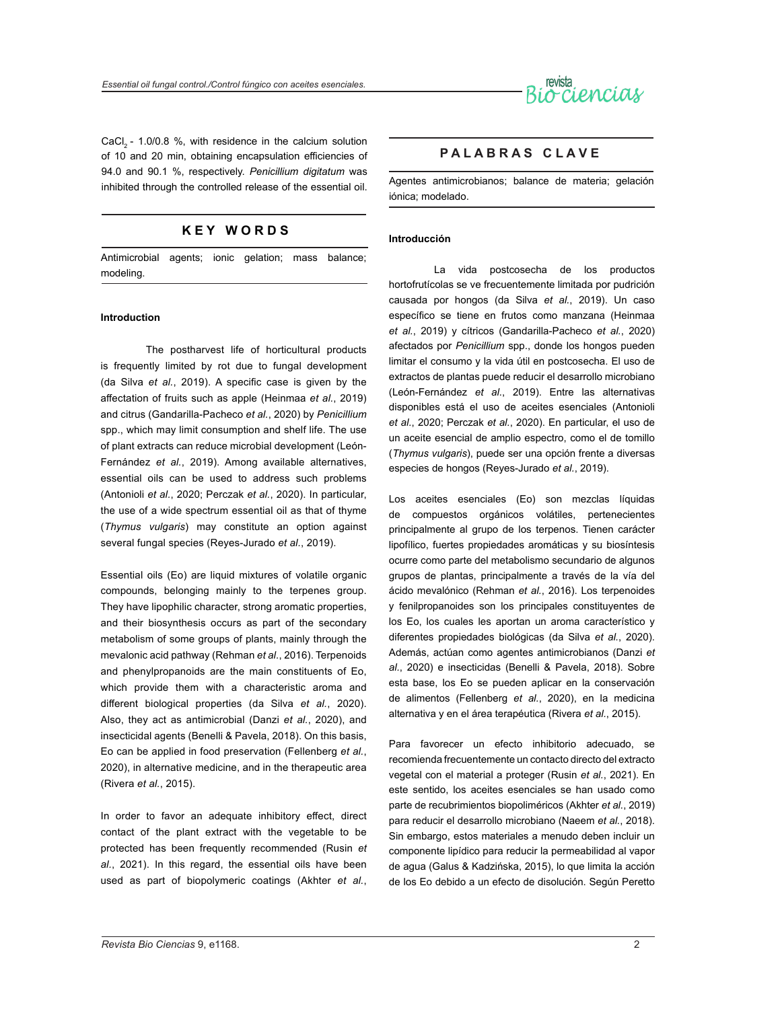

CaCl2 - 1.0/0.8 %, with residence in the calcium solution of 10 and 20 min, obtaining encapsulation efficiencies of 94.0 and 90.1 %, respectively. *Penicillium digitatum* was inhibited through the controlled release of the essential oil.

## **K E Y W O R D S**

Antimicrobial agents; ionic gelation; mass balance; modeling.

#### **Introduction**

The postharvest life of horticultural products is frequently limited by rot due to fungal development (da Silva *et al.*, 2019). A specific case is given by the affectation of fruits such as apple (Heinmaa *et al.*, 2019) and citrus (Gandarilla-Pacheco *et al.*, 2020) by *Penicillium* spp., which may limit consumption and shelf life. The use of plant extracts can reduce microbial development (León-Fernández *et al.*, 2019). Among available alternatives, essential oils can be used to address such problems (Antonioli *et al.*, 2020; Perczak *et al.*, 2020). In particular, the use of a wide spectrum essential oil as that of thyme (*Thymus vulgaris*) may constitute an option against several fungal species (Reyes-Jurado *et al.*, 2019).

Essential oils (Eo) are liquid mixtures of volatile organic compounds, belonging mainly to the terpenes group. They have lipophilic character, strong aromatic properties, and their biosynthesis occurs as part of the secondary metabolism of some groups of plants, mainly through the mevalonic acid pathway (Rehman *et al.*, 2016). Terpenoids and phenylpropanoids are the main constituents of Eo, which provide them with a characteristic aroma and different biological properties (da Silva *et al.*, 2020). Also, they act as antimicrobial (Danzi *et al.*, 2020), and insecticidal agents (Benelli & Pavela, 2018). On this basis, Eo can be applied in food preservation (Fellenberg *et al.*, 2020), in alternative medicine, and in the therapeutic area (Rivera *et al.*, 2015).

In order to favor an adequate inhibitory effect, direct contact of the plant extract with the vegetable to be protected has been frequently recommended (Rusin *et al.*, 2021). In this regard, the essential oils have been used as part of biopolymeric coatings (Akhter *et al.*,

### **P A L A B R A S C L A V E**

Agentes antimicrobianos; balance de materia; gelación iónica; modelado.

#### **Introducción**

La vida postcosecha de los productos hortofrutícolas se ve frecuentemente limitada por pudrición causada por hongos (da Silva *et al.*, 2019). Un caso específico se tiene en frutos como manzana (Heinmaa *et al.*, 2019) y cítricos (Gandarilla-Pacheco *et al.*, 2020) afectados por *Penicillium* spp., donde los hongos pueden limitar el consumo y la vida útil en postcosecha. El uso de extractos de plantas puede reducir el desarrollo microbiano (León-Fernández *et al.*, 2019). Entre las alternativas disponibles está el uso de aceites esenciales (Antonioli *et al.*, 2020; Perczak *et al.*, 2020). En particular, el uso de un aceite esencial de amplio espectro, como el de tomillo (*Thymus vulgaris*), puede ser una opción frente a diversas especies de hongos (Reyes-Jurado *et al.*, 2019).

Los aceites esenciales (Eo) son mezclas líquidas de compuestos orgánicos volátiles, pertenecientes principalmente al grupo de los terpenos. Tienen carácter lipofílico, fuertes propiedades aromáticas y su biosíntesis ocurre como parte del metabolismo secundario de algunos grupos de plantas, principalmente a través de la vía del ácido mevalónico (Rehman *et al.*, 2016). Los terpenoides y fenilpropanoides son los principales constituyentes de los Eo, los cuales les aportan un aroma característico y diferentes propiedades biológicas (da Silva *et al.*, 2020). Además, actúan como agentes antimicrobianos (Danzi *et al.*, 2020) e insecticidas (Benelli & Pavela, 2018). Sobre esta base, los Eo se pueden aplicar en la conservación de alimentos (Fellenberg *et al.*, 2020), en la medicina alternativa y en el área terapéutica (Rivera *et al.*, 2015).

Para favorecer un efecto inhibitorio adecuado, se recomienda frecuentemente un contacto directo del extracto vegetal con el material a proteger (Rusin *et al.*, 2021). En este sentido, los aceites esenciales se han usado como parte de recubrimientos biopoliméricos (Akhter *et al.*, 2019) para reducir el desarrollo microbiano (Naeem *et al.*, 2018). Sin embargo, estos materiales a menudo deben incluir un componente lipídico para reducir la permeabilidad al vapor de agua (Galus & Kadzińska, 2015), lo que limita la acción de los Eo debido a un efecto de disolución. Según Peretto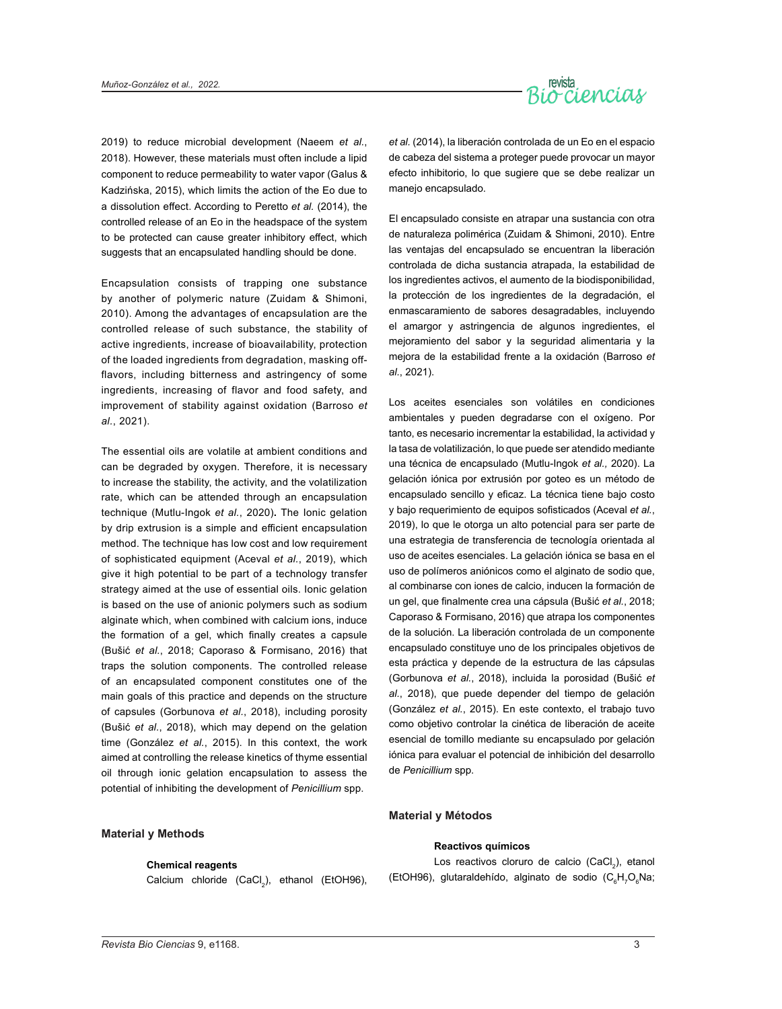

2019) to reduce microbial development (Naeem *et al.*, 2018). However, these materials must often include a lipid component to reduce permeability to water vapor (Galus & Kadzińska, 2015), which limits the action of the Eo due to a dissolution effect. According to Peretto *et al.* (2014), the controlled release of an Eo in the headspace of the system to be protected can cause greater inhibitory effect, which suggests that an encapsulated handling should be done.

Encapsulation consists of trapping one substance by another of polymeric nature (Zuidam & Shimoni, 2010). Among the advantages of encapsulation are the controlled release of such substance, the stability of active ingredients, increase of bioavailability, protection of the loaded ingredients from degradation, masking offflavors, including bitterness and astringency of some ingredients, increasing of flavor and food safety, and improvement of stability against oxidation (Barroso *et al.*, 2021).

The essential oils are volatile at ambient conditions and can be degraded by oxygen. Therefore, it is necessary to increase the stability, the activity, and the volatilization rate, which can be attended through an encapsulation technique (Mutlu-Ingok *et al.*, 2020)**.** The Ionic gelation by drip extrusion is a simple and efficient encapsulation method. The technique has low cost and low requirement of sophisticated equipment (Aceval *et al.*, 2019), which give it high potential to be part of a technology transfer strategy aimed at the use of essential oils. Ionic gelation is based on the use of anionic polymers such as sodium alginate which, when combined with calcium ions, induce the formation of a gel, which finally creates a capsule (Bušić *et al.*, 2018; Caporaso & Formisano, 2016) that traps the solution components. The controlled release of an encapsulated component constitutes one of the main goals of this practice and depends on the structure of capsules (Gorbunova *et al.*, 2018), including porosity (Bušić *et al.*, 2018), which may depend on the gelation time (González *et al.*, 2015). In this context, the work aimed at controlling the release kinetics of thyme essential oil through ionic gelation encapsulation to assess the potential of inhibiting the development of *Penicillium* spp.

*et al.* (2014), la liberación controlada de un Eo en el espacio de cabeza del sistema a proteger puede provocar un mayor efecto inhibitorio, lo que sugiere que se debe realizar un manejo encapsulado.

El encapsulado consiste en atrapar una sustancia con otra de naturaleza polimérica (Zuidam & Shimoni, 2010). Entre las ventajas del encapsulado se encuentran la liberación controlada de dicha sustancia atrapada, la estabilidad de los ingredientes activos, el aumento de la biodisponibilidad, la protección de los ingredientes de la degradación, el enmascaramiento de sabores desagradables, incluyendo el amargor y astringencia de algunos ingredientes, el mejoramiento del sabor y la seguridad alimentaria y la mejora de la estabilidad frente a la oxidación (Barroso *et al.*, 2021).

Los aceites esenciales son volátiles en condiciones ambientales y pueden degradarse con el oxígeno. Por tanto, es necesario incrementar la estabilidad, la actividad y la tasa de volatilización, lo que puede ser atendido mediante una técnica de encapsulado (Mutlu-Ingok *et al.,* 2020). La gelación iónica por extrusión por goteo es un método de encapsulado sencillo y eficaz. La técnica tiene bajo costo y bajo requerimiento de equipos sofisticados (Aceval *et al.*, 2019), lo que le otorga un alto potencial para ser parte de una estrategia de transferencia de tecnología orientada al uso de aceites esenciales. La gelación iónica se basa en el uso de polímeros aniónicos como el alginato de sodio que, al combinarse con iones de calcio, inducen la formación de un gel, que finalmente crea una cápsula (Bušić *et al.*, 2018; Caporaso & Formisano, 2016) que atrapa los componentes de la solución. La liberación controlada de un componente encapsulado constituye uno de los principales objetivos de esta práctica y depende de la estructura de las cápsulas (Gorbunova *et al.*, 2018), incluida la porosidad (Bušić *et al.*, 2018), que puede depender del tiempo de gelación (González *et al.*, 2015). En este contexto, el trabajo tuvo como objetivo controlar la cinética de liberación de aceite esencial de tomillo mediante su encapsulado por gelación iónica para evaluar el potencial de inhibición del desarrollo de *Penicillium* spp.

#### **Material y Métodos**

#### **Material y Methods**

#### **Chemical reagents**

 $\textsf{Calcium}$  chloride  $\textsf{(CaCl}_{2}\textsf{)},$  ethanol  $\textsf{(EtOH96)}$ ,

#### **Reactivos químicos**

Los reactivos cloruro de calcio (CaCl<sub>2</sub>), etanol (EtOH96), glutaraldehído, alginato de sodio ( $C_6H_7O_6$ Na;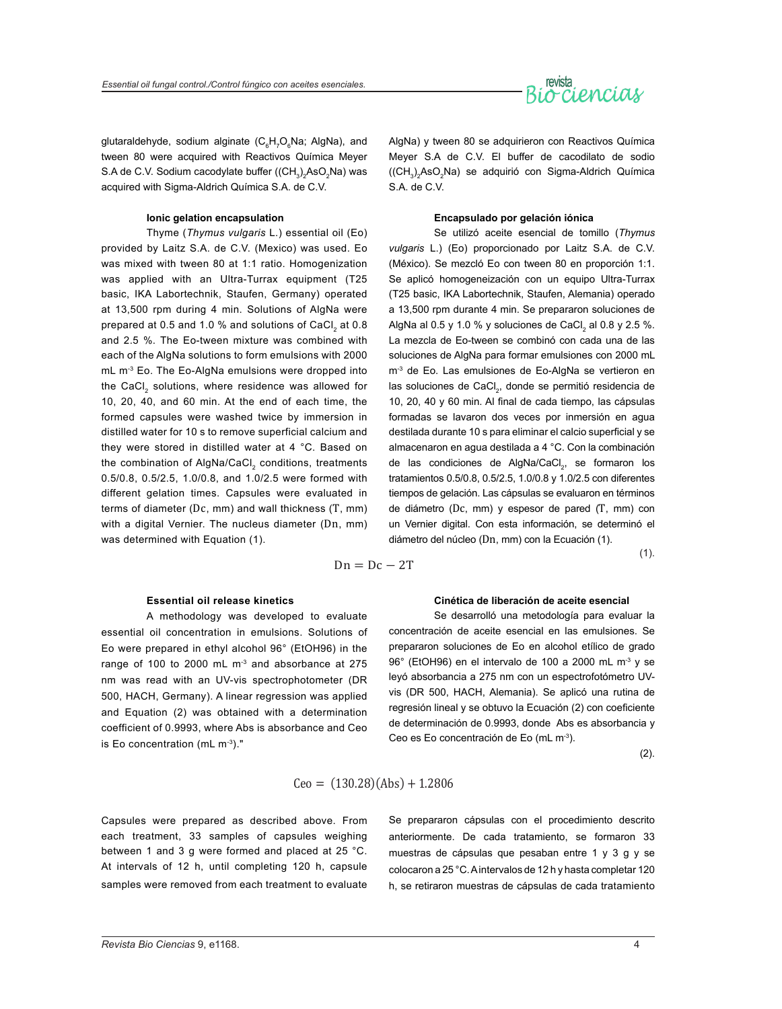

glutaraldehyde, sodium alginate (C<sub>6</sub>H<sub>7</sub>O<sub>6</sub>Na; AlgNa), and tween 80 were acquired with Reactivos Química Meyer S.A de C.V. Sodium cacodylate buffer ((CH $_{\rm 3})_{\rm 2}$ AsO $_{\rm 2}$ Na) was acquired with Sigma-Aldrich Química S.A. de C.V.

#### **Ionic gelation encapsulation**

Thyme (*Thymus vulgaris* L.) essential oil (Eo) provided by Laitz S.A. de C.V. (Mexico) was used. Eo was mixed with tween 80 at 1:1 ratio. Homogenization was applied with an Ultra-Turrax equipment (T25 basic, IKA Labortechnik, Staufen, Germany) operated at 13,500 rpm during 4 min. Solutions of AlgNa were prepared at 0.5 and 1.0 % and solutions of CaCl<sub>2</sub> at 0.8 and 2.5 %. The Eo-tween mixture was combined with each of the AlgNa solutions to form emulsions with 2000  $mL$  m<sup>-3</sup> Eo. The Eo-AlgNa emulsions were dropped into the CaCl, solutions, where residence was allowed for 10, 20, 40, and 60 min. At the end of each time, the formed capsules were washed twice by immersion in distilled water for 10 s to remove superficial calcium and they were stored in distilled water at 4 °C. Based on the combination of AlgNa/CaCl<sub>2</sub> conditions, treatments 0.5/0.8, 0.5/2.5, 1.0/0.8, and 1.0/2.5 were formed with different gelation times. Capsules were evaluated in terms of diameter (Dc, mm) and wall thickness (T, mm) with a digital Vernier. The nucleus diameter (Dn, mm) was determined with Equation (1).

AlgNa) y tween 80 se adquirieron con Reactivos Química Meyer S.A de C.V. El buffer de cacodilato de sodio  $(\mathsf{CH}_3)_2\mathsf{AsO}_2\mathsf{Na})$  se adquirió con Sigma-Aldrich Química S.A. de C.V.

#### **Encapsulado por gelación iónica**

Se utilizó aceite esencial de tomillo (*Thymus vulgaris* L.) (Eo) proporcionado por Laitz S.A. de C.V. (México). Se mezcló Eo con tween 80 en proporción 1:1. Se aplicó homogeneización con un equipo Ultra-Turrax (T25 basic, IKA Labortechnik, Staufen, Alemania) operado a 13,500 rpm durante 4 min. Se prepararon soluciones de AlgNa al 0.5 y 1.0 % y soluciones de CaCl $_2$  al 0.8 y 2.5 %. La mezcla de Eo-tween se combinó con cada una de las soluciones de AlgNa para formar emulsiones con 2000 mL m<sup>-3</sup> de Eo. Las emulsiones de Eo-AlgNa se vertieron en las soluciones de CaCl<sub>2</sub>, donde se permitió residencia de 10, 20, 40 y 60 min. Al final de cada tiempo, las cápsulas formadas se lavaron dos veces por inmersión en agua destilada durante 10 s para eliminar el calcio superficial y se almacenaron en agua destilada a 4 °C. Con la combinación de las condiciones de AlgNa/CaCl<sub>2</sub>, se formaron los tratamientos 0.5/0.8, 0.5/2.5, 1.0/0.8 y 1.0/2.5 con diferentes tiempos de gelación. Las cápsulas se evaluaron en términos de diámetro (Dc, mm) y espesor de pared (T, mm) con un Vernier digital. Con esta información, se determinó el diámetro del núcleo (Dn, mm) con la Ecuación (1).

$$
Dn = Dc - 2T
$$

 $(1).$ 

#### **Essential oil release kinetics**

A methodology was developed to evaluate essential oil concentration in emulsions. Solutions of Eo were prepared in ethyl alcohol 96° (EtOH96) in the range of 100 to 2000 mL  $m<sup>3</sup>$  and absorbance at 275 nm was read with an UV-vis spectrophotometer (DR 500, HACH, Germany). A linear regression was applied and Equation (2) was obtained with a determination coefficient of 0.9993, where Abs is absorbance and Ceo is Eo concentration (mL m-3)."

#### **Cinética de liberación de aceite esencial**

Se desarrolló una metodología para evaluar la concentración de aceite esencial en las emulsiones. Se prepararon soluciones de Eo en alcohol etílico de grado 96° (EtOH96) en el intervalo de 100 a 2000 mL m-3 y se leyó absorbancia a 275 nm con un espectrofotómetro UVvis (DR 500, HACH, Alemania). Se aplicó una rutina de regresión lineal y se obtuvo la Ecuación (2) con coeficiente de determinación de 0.9993, donde Abs es absorbancia y Ceo es Eo concentración de Eo (mL m<sup>-3</sup>).

(2).

$$
Ceo = (130.28)(Abs) + 1.2806
$$

Capsules were prepared as described above. From each treatment, 33 samples of capsules weighing between 1 and 3 g were formed and placed at 25 °C. At intervals of 12 h, until completing 120 h, capsule samples were removed from each treatment to evaluate Se prepararon cápsulas con el procedimiento descrito anteriormente. De cada tratamiento, se formaron 33 muestras de cápsulas que pesaban entre 1 y 3 g y se colocaron a 25 °C. A intervalos de 12 h y hasta completar 120 h, se retiraron muestras de cápsulas de cada tratamiento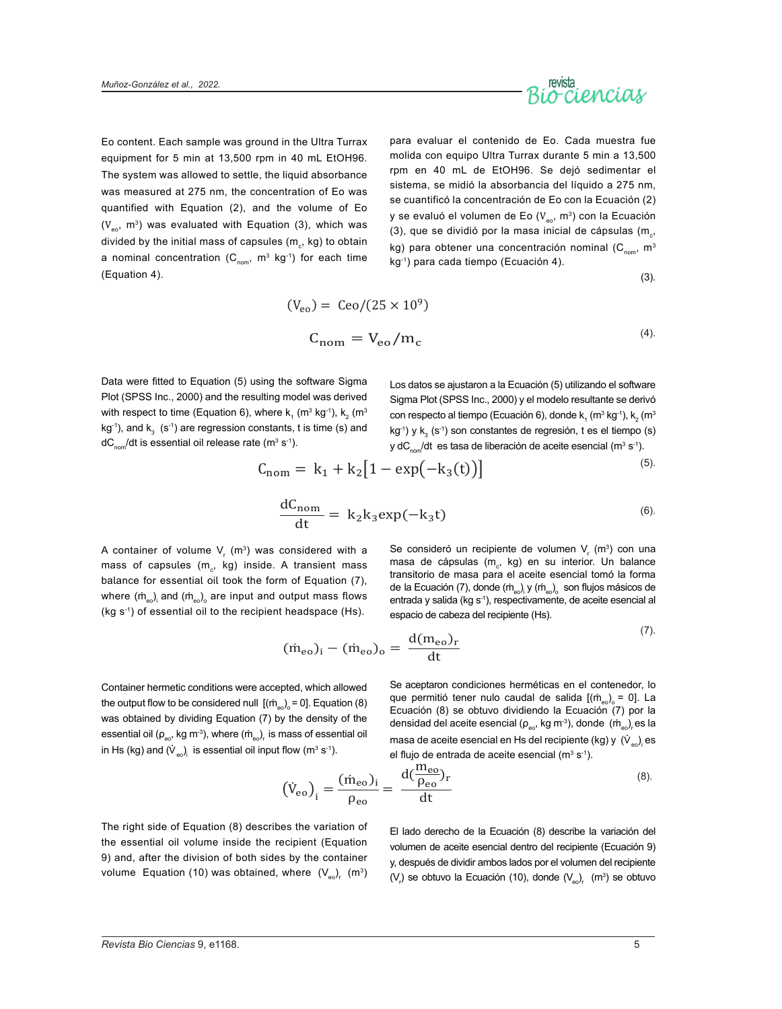

Eo content. Each sample was ground in the Ultra Turrax equipment for 5 min at 13,500 rpm in 40 mL EtOH96. The system was allowed to settle, the liquid absorbance was measured at 275 nm, the concentration of Eo was quantified with Equation (2), and the volume of Eo  $(V_{\infty}, m^3)$  was evaluated with Equation (3), which was divided by the initial mass of capsules (m $_{\rm c}$ , kg) to obtain a nominal concentration  $(C_{\text{nom}}, m^3 \text{ kg}^{-1})$  for each time (Equation 4).

para evaluar el contenido de Eo. Cada muestra fue molida con equipo Ultra Turrax durante 5 min a 13,500 rpm en 40 mL de EtOH96. Se dejó sedimentar el sistema, se midió la absorbancia del líquido a 275 nm, se cuantificó la concentración de Eo con la Ecuación (2) y se evaluó el volumen de Eo ( $V_{\text{eq}}$ , m<sup>3</sup>) con la Ecuación (3), que se dividió por la masa inicial de cápsulas (m $_{\rm c}$ , kg) para obtener una concentración nominal ( $C_{nom}$ , m<sup>3</sup> kg-1) para cada tiempo (Ecuación 4).

(3).

$$
(\mathbf{V}_{\rm eo}) = \text{Ceo}/(25 \times 10^9)
$$
  
\n
$$
\mathbf{C}_{\rm nom} = \mathbf{V}_{\rm eo}/\mathbf{m}_{\rm c}
$$
 (4)

Data were fitted to Equation (5) using the software Sigma Plot (SPSS Inc., 2000) and the resulting model was derived with respect to time (Equation 6), where k<sub>1</sub> (m $^3$  kg<sup>-1</sup>), k<sub>2</sub> (m $^3$ kg<sup>-1</sup>), and k $_3^{\phantom i}$  (s<sup>-1</sup>) are regression constants, t is time (s) and dC $_{\sf nom}$ /dt is essential oil release rate (m $^3$  s<sup>-1</sup>).

Los datos se ajustaron a la Ecuación (5) utilizando el software Sigma Plot (SPSS Inc., 2000) y el modelo resultante se derivó con respecto al tiempo (Ecuación 6), donde  $k_1$  (m $3$  kg $1$ ),  $k_2$  (m $3$ kg<sup>-1</sup>) y k $_3$  (s<sup>-1</sup>) son constantes de regresión, t es el tiempo (s) y d $\mathsf{C}_{\mathsf{nom}}/\mathsf{dt}\;$  es tasa de liberación de aceite esencial (m $^3$  s $^{\text{-}1}).$ 

$$
C_{\text{nom}} = k_1 + k_2 [1 - \exp(-k_3(t))]
$$
\n<sup>(5)</sup>

$$
\frac{dC_{\text{nom}}}{dt} = k_2 k_3 \exp(-k_3 t) \tag{6}
$$

A container of volume  $\mathsf{V}_{_{\mathsf{F}}}$  (m $^3$ ) was considered with a mass of capsules (m $_{\rm c}$ , kg) inside. A transient mass balance for essential oil took the form of Equation (7), where  $(\check{\text{m}}_{_{\text{eo}}})_{_{\text{i}}}$  and  $(\check{\text{m}}_{_{\text{eo}}})_{_{\text{o}}}$  are input and output mass flows (kg s-1) of essential oil to the recipient headspace (Hs).

Se consideró un recipiente de volumen  $V_r$  (m<sup>3</sup>) con una masa de cápsulas (m<sub>c</sub>, kg) en su interior. Un balance transitorio de masa para el aceite esencial tomó la forma de la Ecuación (7), donde (ṁ<sub>eo</sub>)<sub>i</sub> y (ṁ<sub>eo</sub>)<sub>o</sub> son flujos másicos de entrada y salida (kg s<sup>-1</sup>), respectivamente, de aceite esencial al espacio de cabeza del recipiente (Hs).

$$
(\dot{m}_{eo})_i - (\dot{m}_{eo})_o = \frac{d(m_{eo})_r}{dt}
$$

Container hermetic conditions were accepted, which allowed the output flow to be considered null  $\rm\,$  [(m $_{\rm{eo}}$ ) $_{\rm{o}}$  = 0]. Equation (8) was obtained by dividing Equation (7) by the density of the essential oil (p $_{\rm{eo}}$ , kg m $^{\rm{3)}}$ , where (m $_{\rm{eo}}$ ), is mass of essential oil in Hs (kg) and ( $\dot{\mathsf{V}}_\mathsf{eo}$ ) $_\mathsf{i}\,$  is essential oil input flow (m $^3$  s $^{\text{-1}}$ ).

Se aceptaron condiciones herméticas en el contenedor, lo que permitió tener nulo caudal de salida  $[(\dot{m}_{e})_e = 0]$ . La Ecuación (8) se obtuvo dividiendo la Ecuación (7) por la densidad del aceite esencial (ρ<sub>eo</sub>, kg m<sup>.</sup>3), donde (ṁ<sub>eo</sub>)<sub>r</sub> es la masa de aceite esencial en Hs del recipiente (kg) y  $\,({\sf V}_{\sf eo})_{\sf i}\, {\sf es}$ el flujo de entrada de aceite esencial (m<sup>3</sup> s<sup>-1</sup>).

$$
(\dot{V}_{eo})_i = \frac{(\dot{m}_{eo})_i}{\rho_{eo}} = \frac{d(\frac{m_{eo}}{\rho_{eo}})_r}{dt}
$$
\n(8)

The right side of Equation (8) describes the variation of the essential oil volume inside the recipient (Equation 9) and, after the division of both sides by the container volume Equation (10) was obtained, where  $(V_{\epsilon_0})$ ,  $(m^3)$ 

El lado derecho de la Ecuación (8) describe la variación del volumen de aceite esencial dentro del recipiente (Ecuación 9) y, después de dividir ambos lados por el volumen del recipiente  $(V<sub>r</sub>)$  se obtuvo la Ecuación (10), donde  $(V<sub>eo</sub>)<sub>r</sub>$  (m<sup>3</sup>) se obtuvo

 $(7)$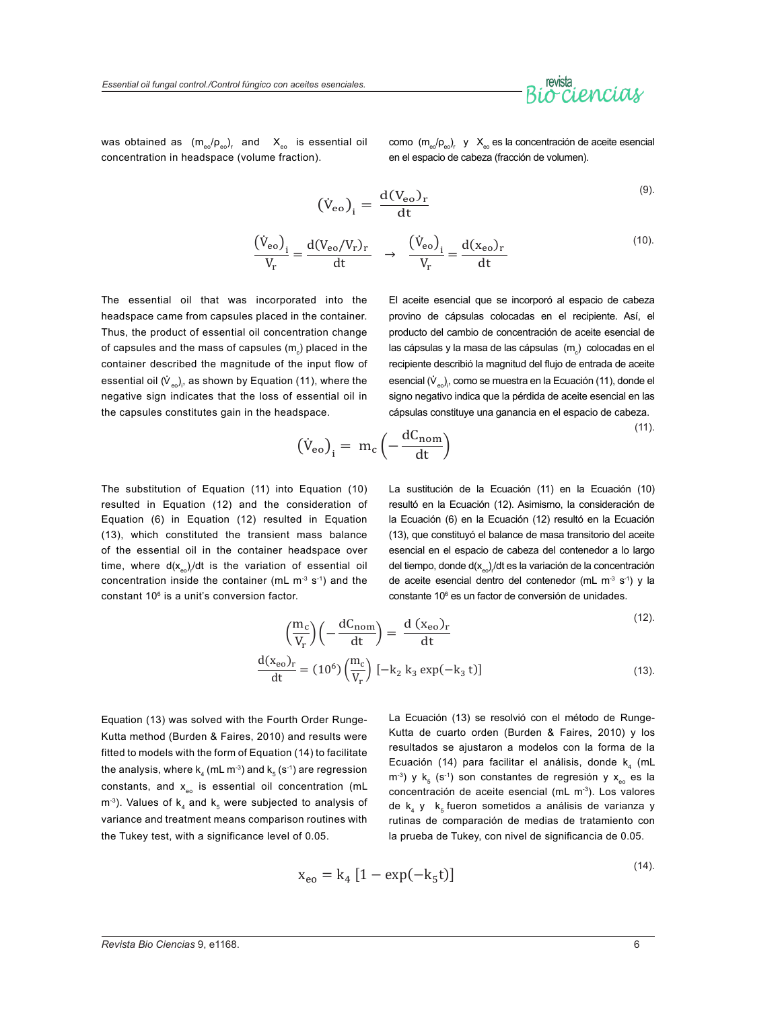was obtained as  $\rm\,(m_{_{eo}}/\rm p_{_{eo}})_{_{r}}$  and  $\rm\,X_{_{eo}}$  is essential oil concentration in headspace (volume fraction).

como  $(m_{\text{e}}/p_{\text{e}})$ , y  $X_{\text{e}}$  es la concentración de aceite esencial en el espacio de cabeza (fracción de volumen).

$$
(\dot{V}_{eo})_i = \frac{d(V_{eo})_r}{dt}
$$
\n(9)

$$
\frac{(\dot{V}_{eo})_i}{V_r} = \frac{d(V_{eo}/V_r)_r}{dt} \rightarrow \frac{(\dot{V}_{eo})_i}{V_r} = \frac{d(x_{eo})_r}{dt}
$$
\n(10)

The essential oil that was incorporated into the headspace came from capsules placed in the container. Thus, the product of essential oil concentration change of capsules and the mass of capsules  $\sf (m_{_{\rm c}}\sf)$  placed in the container described the magnitude of the input flow of essential oil ( $\dot{\mathsf{V}}_{\mathsf{eo}}$ ), as shown by Equation (11), where the negative sign indicates that the loss of essential oil in the capsules constitutes gain in the headspace.

El aceite esencial que se incorporó al espacio de cabeza provino de cápsulas colocadas en el recipiente. Así, el producto del cambio de concentración de aceite esencial de las cápsulas y la masa de las cápsulas  $\,({\sf m_{\rm c}})\,$  colocadas en el recipiente describió la magnitud del flujo de entrada de aceite esencial ( $\dot{\mathsf{V}}_{\mathsf{eo}}$ ), como se muestra en la Ecuación (11), donde el signo negativo indica que la pérdida de aceite esencial en las cápsulas constituye una ganancia en el espacio de cabeza.

$$
\left(\dot{V}_{eo}\right)_i = m_c \left(-\frac{dC_{nom}}{dt}\right) \tag{11}
$$

The substitution of Equation (11) into Equation (10) resulted in Equation (12) and the consideration of Equation (6) in Equation (12) resulted in Equation (13), which constituted the transient mass balance of the essential oil in the container headspace over time, where d(x $_{\rm{eo}}$ ),/dt is the variation of essential oil concentration inside the container (mL  $m<sup>-3</sup>$  s<sup>-1</sup>) and the constant 106 is a unit's conversion factor.

La sustitución de la Ecuación (11) en la Ecuación (10) resultó en la Ecuación (12). Asimismo, la consideración de la Ecuación (6) en la Ecuación (12) resultó en la Ecuación (13), que constituyó el balance de masa transitorio del aceite esencial en el espacio de cabeza del contenedor a lo largo del tiempo, donde d(x<sub>eo</sub>)/dt es la variación de la concentración de aceite esencial dentro del contenedor (mL  $m<sup>3</sup>$  s<sup>-1</sup>) y la constante 106 es un factor de conversión de unidades.

$$
\left(\frac{m_c}{V_r}\right)\left(-\frac{dC_{\text{nom}}}{dt}\right) = \frac{d\left(x_{\text{eo}}\right)_r}{dt} \tag{12}
$$

$$
\frac{d(x_{eo})_r}{dt} = (10^6) \left(\frac{m_c}{V_r}\right) \left[-k_2 \, k_3 \, \exp(-k_3 \, t)\right] \tag{13}
$$

Equation (13) was solved with the Fourth Order Runge-Kutta method (Burden & Faires, 2010) and results were fitted to models with the form of Equation (14) to facilitate the analysis, where  $k_4$  (mL m<sup>-3</sup>) and  $k_5$  (s<sup>-1</sup>) are regression constants, and  $x_{\text{eo}}$  is essential oil concentration (mL  $m<sup>-3</sup>$ ). Values of k<sub>4</sub> and k<sub>5</sub> were subjected to analysis of variance and treatment means comparison routines with the Tukey test, with a significance level of 0.05.

La Ecuación (13) se resolvió con el método de Runge-Kutta de cuarto orden (Burden & Faires, 2010) y los resultados se ajustaron a modelos con la forma de la Ecuación (14) para facilitar el análisis, donde  $k<sub>a</sub>$  (mL  $m^{-3}$ ) y k<sub>5</sub> (s<sup>-1</sup>) son constantes de regresión y x<sub>eo</sub> es la concentración de aceite esencial (mL m<sup>-3</sup>). Los valores de  $k_4$  y  $k_5$  fueron sometidos a análisis de varianza y rutinas de comparación de medias de tratamiento con la prueba de Tukey, con nivel de significancia de 0.05.

$$
x_{e0} = k_4 [1 - \exp(-k_5 t)]
$$

 $(14)$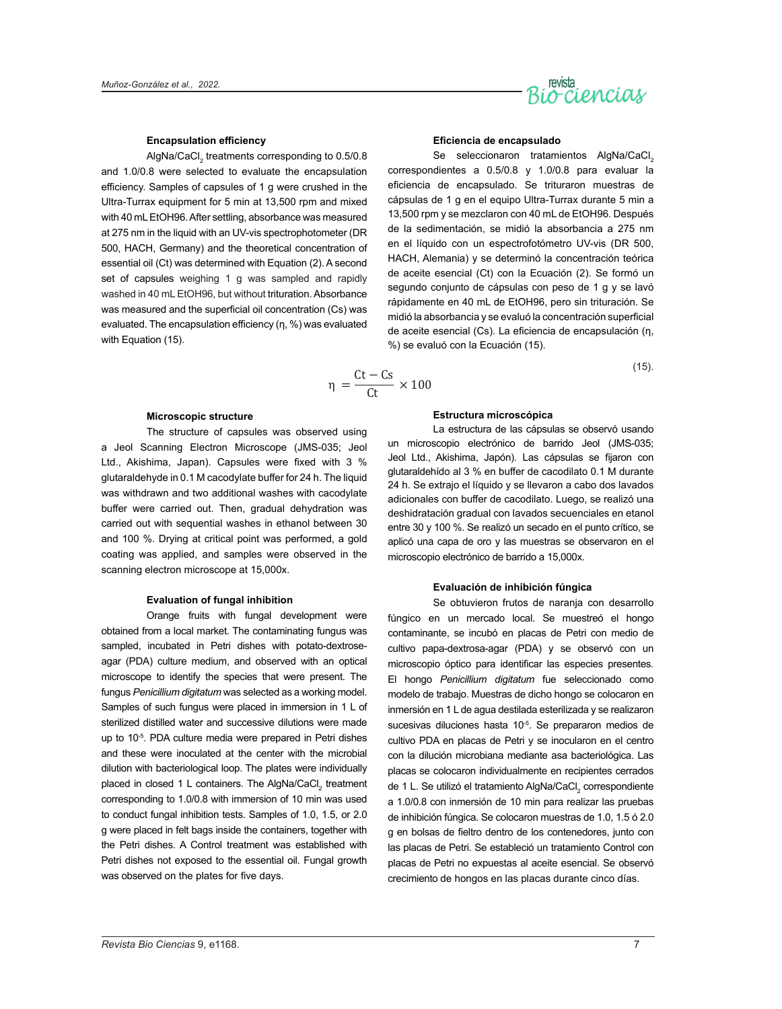

#### **Encapsulation efficiency**

AlgNa/CaCl $_{\textrm{\tiny{2}}}$  treatments corresponding to 0.5/0.8 and 1.0/0.8 were selected to evaluate the encapsulation efficiency. Samples of capsules of 1 g were crushed in the Ultra-Turrax equipment for 5 min at 13,500 rpm and mixed with 40 mL EtOH96. After settling, absorbance was measured at 275 nm in the liquid with an UV-vis spectrophotometer (DR 500, HACH, Germany) and the theoretical concentration of essential oil (Ct) was determined with Equation (2). A second set of capsules weighing 1 g was sampled and rapidly washed in 40 mL EtOH96, but without trituration. Absorbance was measured and the superficial oil concentration (Cs) was evaluated. The encapsulation efficiency (η, %) was evaluated with Equation (15).

#### **Eficiencia de encapsulado**

Se seleccionaron tratamientos AlgNa/CaCl. correspondientes a 0.5/0.8 y 1.0/0.8 para evaluar la eficiencia de encapsulado. Se trituraron muestras de cápsulas de 1 g en el equipo Ultra-Turrax durante 5 min a 13,500 rpm y se mezclaron con 40 mL de EtOH96. Después de la sedimentación, se midió la absorbancia a 275 nm en el líquido con un espectrofotómetro UV-vis (DR 500, HACH, Alemania) y se determinó la concentración teórica de aceite esencial (Ct) con la Ecuación (2). Se formó un segundo conjunto de cápsulas con peso de 1 g y se lavó rápidamente en 40 mL de EtOH96, pero sin trituración. Se midió la absorbancia y se evaluó la concentración superficial de aceite esencial (Cs). La eficiencia de encapsulación (η, %) se evaluó con la Ecuación (15).

$$
\eta = \frac{Ct - Cs}{Ct} \times 100
$$
\n(15)

#### **Microscopic structure**

The structure of capsules was observed using a Jeol Scanning Electron Microscope (JMS-035; Jeol Ltd., Akishima, Japan). Capsules were fixed with 3 % glutaraldehyde in 0.1 M cacodylate buffer for 24 h. The liquid was withdrawn and two additional washes with cacodylate buffer were carried out. Then, gradual dehydration was carried out with sequential washes in ethanol between 30 and 100 %. Drying at critical point was performed, a gold coating was applied, and samples were observed in the scanning electron microscope at 15,000x.

#### **Evaluation of fungal inhibition**

Orange fruits with fungal development were obtained from a local market. The contaminating fungus was sampled, incubated in Petri dishes with potato-dextroseagar (PDA) culture medium, and observed with an optical microscope to identify the species that were present. The fungus *Penicillium digitatum* was selected as a working model. Samples of such fungus were placed in immersion in 1 L of sterilized distilled water and successive dilutions were made up to 10<sup>-5</sup>. PDA culture media were prepared in Petri dishes and these were inoculated at the center with the microbial dilution with bacteriological loop. The plates were individually placed in closed 1 L containers. The AlgNa/CaCl<sub>2</sub> treatment corresponding to 1.0/0.8 with immersion of 10 min was used to conduct fungal inhibition tests. Samples of 1.0, 1.5, or 2.0 g were placed in felt bags inside the containers, together with the Petri dishes. A Control treatment was established with Petri dishes not exposed to the essential oil. Fungal growth was observed on the plates for five days.

#### **Estructura microscópica**

La estructura de las cápsulas se observó usando un microscopio electrónico de barrido Jeol (JMS-035; Jeol Ltd., Akishima, Japón). Las cápsulas se fijaron con glutaraldehído al 3 % en buffer de cacodilato 0.1 M durante 24 h. Se extrajo el líquido y se llevaron a cabo dos lavados adicionales con buffer de cacodilato. Luego, se realizó una deshidratación gradual con lavados secuenciales en etanol entre 30 y 100 %. Se realizó un secado en el punto crítico, se aplicó una capa de oro y las muestras se observaron en el microscopio electrónico de barrido a 15,000x.

#### **Evaluación de inhibición fúngica**

Se obtuvieron frutos de naranja con desarrollo fúngico en un mercado local. Se muestreó el hongo contaminante, se incubó en placas de Petri con medio de cultivo papa-dextrosa-agar (PDA) y se observó con un microscopio óptico para identificar las especies presentes. El hongo *Penicillium digitatum* fue seleccionado como modelo de trabajo. Muestras de dicho hongo se colocaron en inmersión en 1 L de agua destilada esterilizada y se realizaron sucesivas diluciones hasta 10<sup>-5</sup>. Se prepararon medios de cultivo PDA en placas de Petri y se inocularon en el centro con la dilución microbiana mediante asa bacteriológica. Las placas se colocaron individualmente en recipientes cerrados de 1 L. Se utilizó el tratamiento AlgNa/CaCl<sub>2</sub> correspondiente a 1.0/0.8 con inmersión de 10 min para realizar las pruebas de inhibición fúngica. Se colocaron muestras de 1.0, 1.5 ó 2.0 g en bolsas de fieltro dentro de los contenedores, junto con las placas de Petri. Se estableció un tratamiento Control con placas de Petri no expuestas al aceite esencial. Se observó crecimiento de hongos en las placas durante cinco días.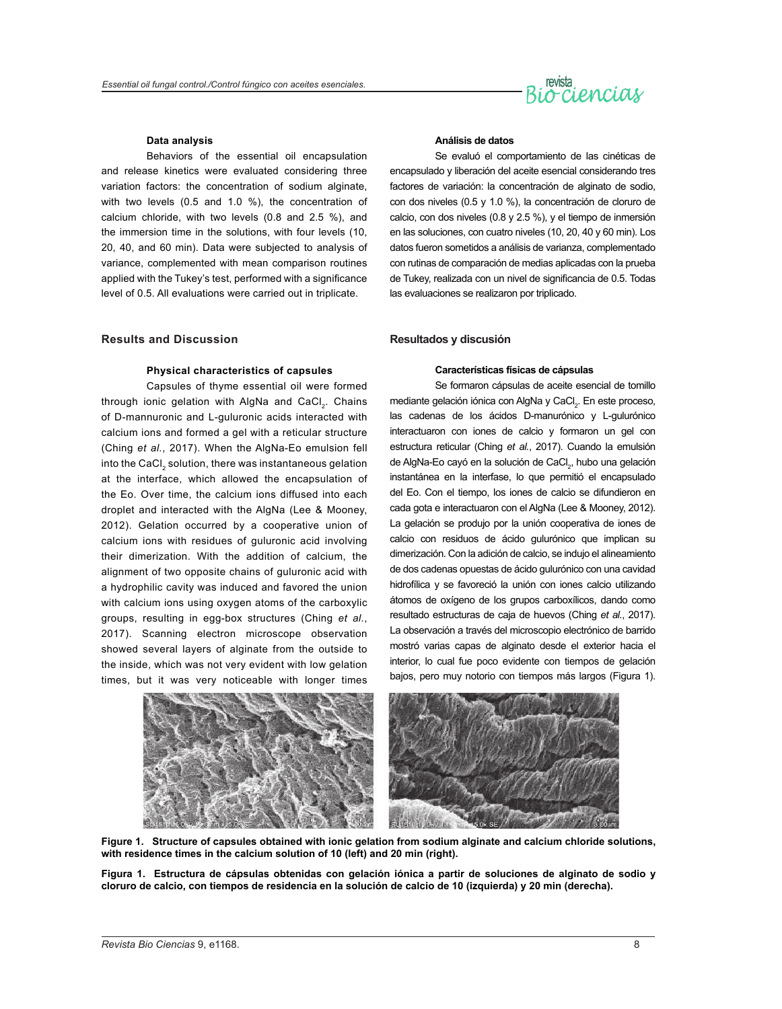

#### **Data analysis**

Behaviors of the essential oil encapsulation and release kinetics were evaluated considering three variation factors: the concentration of sodium alginate, with two levels (0.5 and 1.0 %), the concentration of calcium chloride, with two levels (0.8 and 2.5 %), and the immersion time in the solutions, with four levels (10, 20, 40, and 60 min). Data were subjected to analysis of variance, complemented with mean comparison routines applied with the Tukey's test, performed with a significance level of 0.5. All evaluations were carried out in triplicate.

#### **Results and Discussion**

#### **Physical characteristics of capsules**

Capsules of thyme essential oil were formed through ionic gelation with AlgNa and CaCl<sub>2</sub>. Chains of D-mannuronic and L-guluronic acids interacted with calcium ions and formed a gel with a reticular structure (Ching *et al.*, 2017). When the AlgNa-Eo emulsion fell into the CaCl<sub>2</sub> solution, there was instantaneous gelation at the interface, which allowed the encapsulation of the Eo. Over time, the calcium ions diffused into each droplet and interacted with the AlgNa (Lee & Mooney, 2012). Gelation occurred by a cooperative union of calcium ions with residues of guluronic acid involving their dimerization. With the addition of calcium, the alignment of two opposite chains of guluronic acid with a hydrophilic cavity was induced and favored the union with calcium ions using oxygen atoms of the carboxylic groups, resulting in egg-box structures (Ching *et al.*, 2017). Scanning electron microscope observation showed several layers of alginate from the outside to the inside, which was not very evident with low gelation times, but it was very noticeable with longer times

#### **Análisis de datos**

Se evaluó el comportamiento de las cinéticas de encapsulado y liberación del aceite esencial considerando tres factores de variación: la concentración de alginato de sodio, con dos niveles (0.5 y 1.0 %), la concentración de cloruro de calcio, con dos niveles (0.8 y 2.5 %), y el tiempo de inmersión en las soluciones, con cuatro niveles (10, 20, 40 y 60 min). Los datos fueron sometidos a análisis de varianza, complementado con rutinas de comparación de medias aplicadas con la prueba de Tukey, realizada con un nivel de significancia de 0.5. Todas las evaluaciones se realizaron por triplicado.

#### **Resultados y discusión**

#### **Características físicas de cápsulas**

Se formaron cápsulas de aceite esencial de tomillo mediante gelación iónica con AlgNa y CaCl<sub>2</sub>. En este proceso, las cadenas de los ácidos D-manurónico y L-gulurónico interactuaron con iones de calcio y formaron un gel con estructura reticular (Ching *et al.*, 2017). Cuando la emulsión de AlgNa-Eo cayó en la solución de CaCl<sub>2</sub>, hubo una gelación instantánea en la interfase, lo que permitió el encapsulado del Eo. Con el tiempo, los iones de calcio se difundieron en cada gota e interactuaron con el AlgNa (Lee & Mooney, 2012). La gelación se produjo por la unión cooperativa de iones de calcio con residuos de ácido gulurónico que implican su dimerización. Con la adición de calcio, se indujo el alineamiento de dos cadenas opuestas de ácido gulurónico con una cavidad hidrofílica y se favoreció la unión con iones calcio utilizando átomos de oxígeno de los grupos carboxílicos, dando como resultado estructuras de caja de huevos (Ching *et al.*, 2017). La observación a través del microscopio electrónico de barrido mostró varias capas de alginato desde el exterior hacia el interior, lo cual fue poco evidente con tiempos de gelación bajos, pero muy notorio con tiempos más largos (Figura 1).



**Figure 1. Structure of capsules obtained with ionic gelation from sodium alginate and calcium chloride solutions, with residence times in the calcium solution of 10 (left) and 20 min (right).**

**Figura 1. Estructura de cápsulas obtenidas con gelación iónica a partir de soluciones de alginato de sodio y cloruro de calcio, con tiempos de residencia en la solución de calcio de 10 (izquierda) y 20 min (derecha).**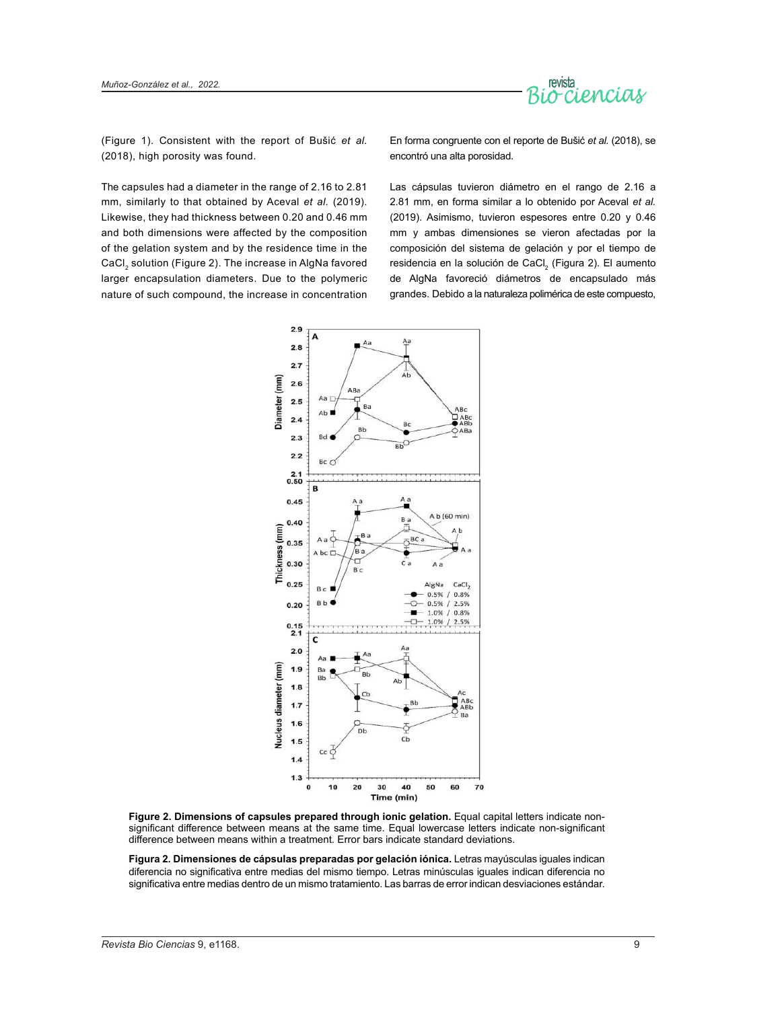

(Figure 1). Consistent with the report of Bušić *et al.* (2018), high porosity was found.

En forma congruente con el reporte de Bušić *et al.* (2018), se encontró una alta porosidad.

The capsules had a diameter in the range of 2.16 to 2.81 mm, similarly to that obtained by Aceval *et al.* (2019). Likewise, they had thickness between 0.20 and 0.46 mm and both dimensions were affected by the composition of the gelation system and by the residence time in the CaCl<sub>2</sub> solution (Figure 2). The increase in AlgNa favored larger encapsulation diameters. Due to the polymeric nature of such compound, the increase in concentration Las cápsulas tuvieron diámetro en el rango de 2.16 a 2.81 mm, en forma similar a lo obtenido por Aceval *et al.* (2019). Asimismo, tuvieron espesores entre 0.20 y 0.46 mm y ambas dimensiones se vieron afectadas por la composición del sistema de gelación y por el tiempo de residencia en la solución de CaCl<sub>2</sub> (Figura 2). El aumento de AlgNa favoreció diámetros de encapsulado más grandes. Debido a la naturaleza polimérica de este compuesto,



**Figure 2. Dimensions of capsules prepared through ionic gelation.** Equal capital letters indicate nonsignificant difference between means at the same time. Equal lowercase letters indicate non-significant difference between means within a treatment. Error bars indicate standard deviations.

**Figura 2. Dimensiones de cápsulas preparadas por gelación iónica.** Letras mayúsculas iguales indican diferencia no significativa entre medias del mismo tiempo. Letras minúsculas iguales indican diferencia no significativa entre medias dentro de un mismo tratamiento. Las barras de error indican desviaciones estándar.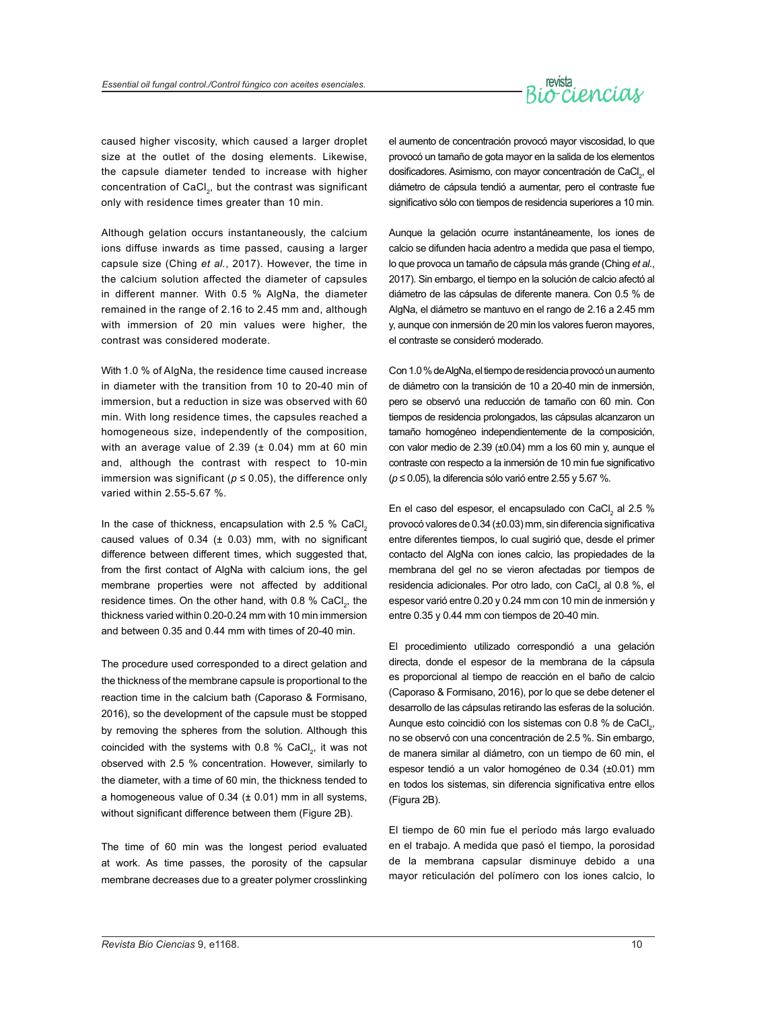# revista<br>Occiencias

caused higher viscosity, which caused a larger droplet size at the outlet of the dosing elements. Likewise, the capsule diameter tended to increase with higher concentration of CaCl<sub>2</sub>, but the contrast was significant only with residence times greater than 10 min.

Although gelation occurs instantaneously, the calcium ions diffuse inwards as time passed, causing a larger capsule size (Ching *et al.*, 2017). However, the time in the calcium solution affected the diameter of capsules in different manner. With 0.5 % AlgNa, the diameter remained in the range of 2.16 to 2.45 mm and, although with immersion of 20 min values were higher, the contrast was considered moderate.

With 1.0 % of AlgNa, the residence time caused increase in diameter with the transition from 10 to 20-40 min of immersion, but a reduction in size was observed with 60 min. With long residence times, the capsules reached a homogeneous size, independently of the composition, with an average value of 2.39  $(\pm 0.04)$  mm at 60 min and, although the contrast with respect to 10-min immersion was significant ( $p \le 0.05$ ), the difference only varied within 2.55-5.67 %.

In the case of thickness, encapsulation with 2.5 % CaCl<sub>2</sub> caused values of  $0.34$  ( $\pm$  0.03) mm, with no significant difference between different times, which suggested that, from the first contact of AlgNa with calcium ions, the gel membrane properties were not affected by additional residence times. On the other hand, with 0.8 % CaCl<sub>2</sub>, the thickness varied within 0.20-0.24 mm with 10 min immersion and between 0.35 and 0.44 mm with times of 20-40 min.

The procedure used corresponded to a direct gelation and the thickness of the membrane capsule is proportional to the reaction time in the calcium bath (Caporaso & Formisano, 2016), so the development of the capsule must be stopped by removing the spheres from the solution. Although this coincided with the systems with 0.8 % CaCl<sub>2</sub>, it was not observed with 2.5 % concentration. However, similarly to the diameter, with a time of 60 min, the thickness tended to a homogeneous value of  $0.34$  ( $\pm$  0.01) mm in all systems, without significant difference between them (Figure 2B).

The time of 60 min was the longest period evaluated at work. As time passes, the porosity of the capsular membrane decreases due to a greater polymer crosslinking el aumento de concentración provocó mayor viscosidad, lo que provocó un tamaño de gota mayor en la salida de los elementos dosificadores. Asimismo, con mayor concentración de CaCl<sub>2</sub>, el diámetro de cápsula tendió a aumentar, pero el contraste fue significativo sólo con tiempos de residencia superiores a 10 min.

Aunque la gelación ocurre instantáneamente, los iones de calcio se difunden hacia adentro a medida que pasa el tiempo, lo que provoca un tamaño de cápsula más grande (Ching *et al.*, 2017). Sin embargo, el tiempo en la solución de calcio afectó al diámetro de las cápsulas de diferente manera. Con 0.5 % de AlgNa, el diámetro se mantuvo en el rango de 2.16 a 2.45 mm y, aunque con inmersión de 20 min los valores fueron mayores, el contraste se consideró moderado.

Con 1.0 % de AlgNa, el tiempo de residencia provocó un aumento de diámetro con la transición de 10 a 20-40 min de inmersión, pero se observó una reducción de tamaño con 60 min. Con tiempos de residencia prolongados, las cápsulas alcanzaron un tamaño homogéneo independientemente de la composición, con valor medio de 2.39 (±0.04) mm a los 60 min y, aunque el contraste con respecto a la inmersión de 10 min fue significativo (*p* ≤ 0.05), la diferencia sólo varió entre 2.55 y 5.67 %.

En el caso del espesor, el encapsulado con CaCl<sub>2</sub> al 2.5 % provocó valores de 0.34 (±0.03) mm, sin diferencia significativa entre diferentes tiempos, lo cual sugirió que, desde el primer contacto del AlgNa con iones calcio, las propiedades de la membrana del gel no se vieron afectadas por tiempos de residencia adicionales. Por otro lado, con CaCl<sub>2</sub> al 0.8 %, el espesor varió entre 0.20 y 0.24 mm con 10 min de inmersión y entre 0.35 y 0.44 mm con tiempos de 20-40 min.

El procedimiento utilizado correspondió a una gelación directa, donde el espesor de la membrana de la cápsula es proporcional al tiempo de reacción en el baño de calcio (Caporaso & Formisano, 2016), por lo que se debe detener el desarrollo de las cápsulas retirando las esferas de la solución. Aunque esto coincidió con los sistemas con 0.8 % de CaCl<sub>2</sub>, no se observó con una concentración de 2.5 %. Sin embargo, de manera similar al diámetro, con un tiempo de 60 min, el espesor tendió a un valor homogéneo de 0.34 (±0.01) mm en todos los sistemas, sin diferencia significativa entre ellos (Figura 2B).

El tiempo de 60 min fue el período más largo evaluado en el trabajo. A medida que pasó el tiempo, la porosidad de la membrana capsular disminuye debido a una mayor reticulación del polímero con los iones calcio, lo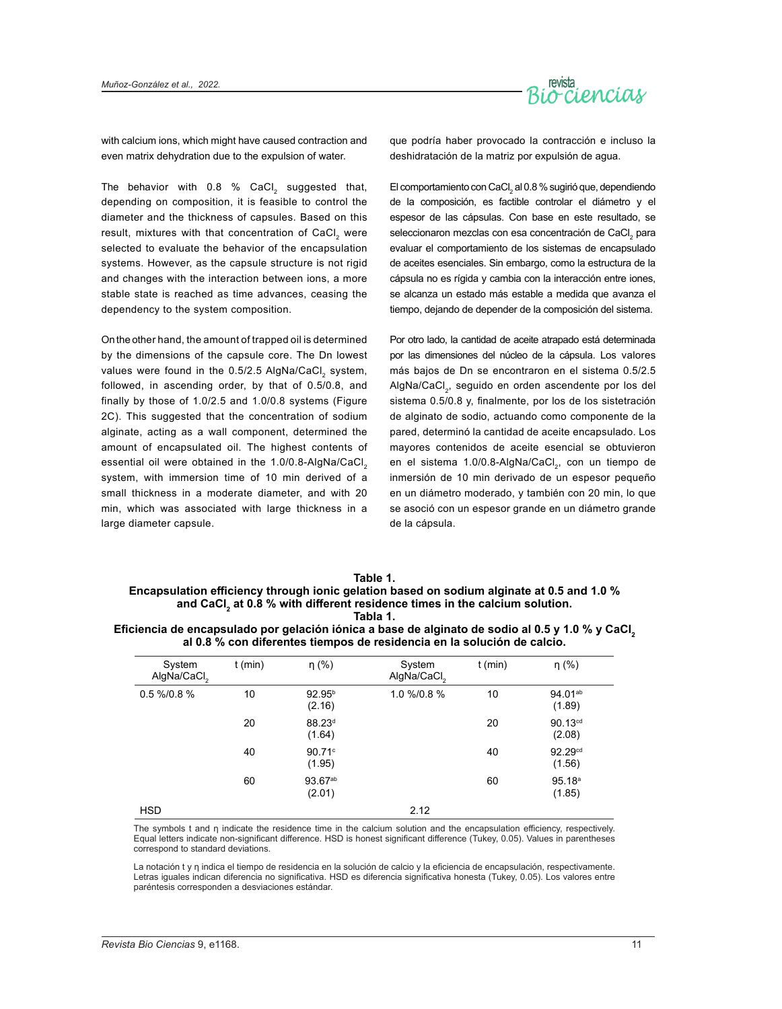

with calcium ions, which might have caused contraction and even matrix dehydration due to the expulsion of water.

The behavior with  $0.8$  % CaCl, suggested that, depending on composition, it is feasible to control the diameter and the thickness of capsules. Based on this result, mixtures with that concentration of CaCl, were selected to evaluate the behavior of the encapsulation systems. However, as the capsule structure is not rigid and changes with the interaction between ions, a more stable state is reached as time advances, ceasing the dependency to the system composition.

On the other hand, the amount of trapped oil is determined by the dimensions of the capsule core. The Dn lowest values were found in the 0.5/2.5 AlgNa/CaCl system, followed, in ascending order, by that of 0.5/0.8, and finally by those of 1.0/2.5 and 1.0/0.8 systems (Figure 2C). This suggested that the concentration of sodium alginate, acting as a wall component, determined the amount of encapsulated oil. The highest contents of essential oil were obtained in the 1.0/0.8-AlgNa/CaCl. system, with immersion time of 10 min derived of a small thickness in a moderate diameter, and with 20 min, which was associated with large thickness in a large diameter capsule.

que podría haber provocado la contracción e incluso la deshidratación de la matriz por expulsión de agua.

El comportamiento con CaCl $_2$  al 0.8 % sugirió que, dependiendo de la composición, es factible controlar el diámetro y el espesor de las cápsulas. Con base en este resultado, se seleccionaron mezclas con esa concentración de CaCl $_2$  para evaluar el comportamiento de los sistemas de encapsulado de aceites esenciales. Sin embargo, como la estructura de la cápsula no es rígida y cambia con la interacción entre iones, se alcanza un estado más estable a medida que avanza el tiempo, dejando de depender de la composición del sistema.

Por otro lado, la cantidad de aceite atrapado está determinada por las dimensiones del núcleo de la cápsula. Los valores más bajos de Dn se encontraron en el sistema 0.5/2.5 AlgNa/CaCl<sub>3</sub>, seguido en orden ascendente por los del sistema 0.5/0.8 y, finalmente, por los de los sistetración de alginato de sodio, actuando como componente de la pared, determinó la cantidad de aceite encapsulado. Los mayores contenidos de aceite esencial se obtuvieron en el sistema 1.0/0.8-AlgNa/CaCl<sub>2</sub>, con un tiempo de inmersión de 10 min derivado de un espesor pequeño en un diámetro moderado, y también con 20 min, lo que se asoció con un espesor grande en un diámetro grande de la cápsula.

| Table 1.                                                                                  |  |
|-------------------------------------------------------------------------------------------|--|
| Encapsulation efficiency through ionic gelation based on sodium alginate at 0.5 and 1.0 % |  |
| and CaCl, at 0.8 % with different residence times in the calcium solution.                |  |
| Tabla 1.                                                                                  |  |

**Eficiencia de encapsulado por gelación iónica a base de alginato de sodio al 0.5 y 1.0 % y CaCl<sup>2</sup> al 0.8 % con diferentes tiempos de residencia en la solución de calcio.**

| System<br>AlgNa/CaCl <sub>2</sub> | $t$ (min) | $\eta$ (%)                   | System<br>AlgNa/CaCl <sub>2</sub> | $t$ (min) | $\eta$ (%)                    |
|-----------------------------------|-----------|------------------------------|-----------------------------------|-----------|-------------------------------|
| $0.5\% / 0.8\%$                   | 10        | 92.95 <sup>b</sup><br>(2.16) | 1.0 %/0.8 %                       | 10        | $94.01^{ab}$<br>(1.89)        |
|                                   | 20        | 88.23 <sup>d</sup><br>(1.64) |                                   | 20        | 90.13 <sup>cd</sup><br>(2.08) |
|                                   | 40        | $90.71$ °<br>(1.95)          |                                   | 40        | 92.29 <sup>cd</sup><br>(1.56) |
|                                   | 60        | $93.67^{ab}$<br>(2.01)       |                                   | 60        | 95.18 <sup>a</sup><br>(1.85)  |
| <b>HSD</b>                        |           |                              | 2.12                              |           |                               |

The symbols t and η indicate the residence time in the calcium solution and the encapsulation efficiency, respectively. Equal letters indicate non-significant difference. HSD is honest significant difference (Tukey, 0.05). Values in parentheses correspond to standard deviations.

La notación t y η indica el tiempo de residencia en la solución de calcio y la eficiencia de encapsulación, respectivamente. Letras iguales indican diferencia no significativa. HSD es diferencia significativa honesta (Tukey, 0.05). Los valores entre paréntesis corresponden a desviaciones estándar.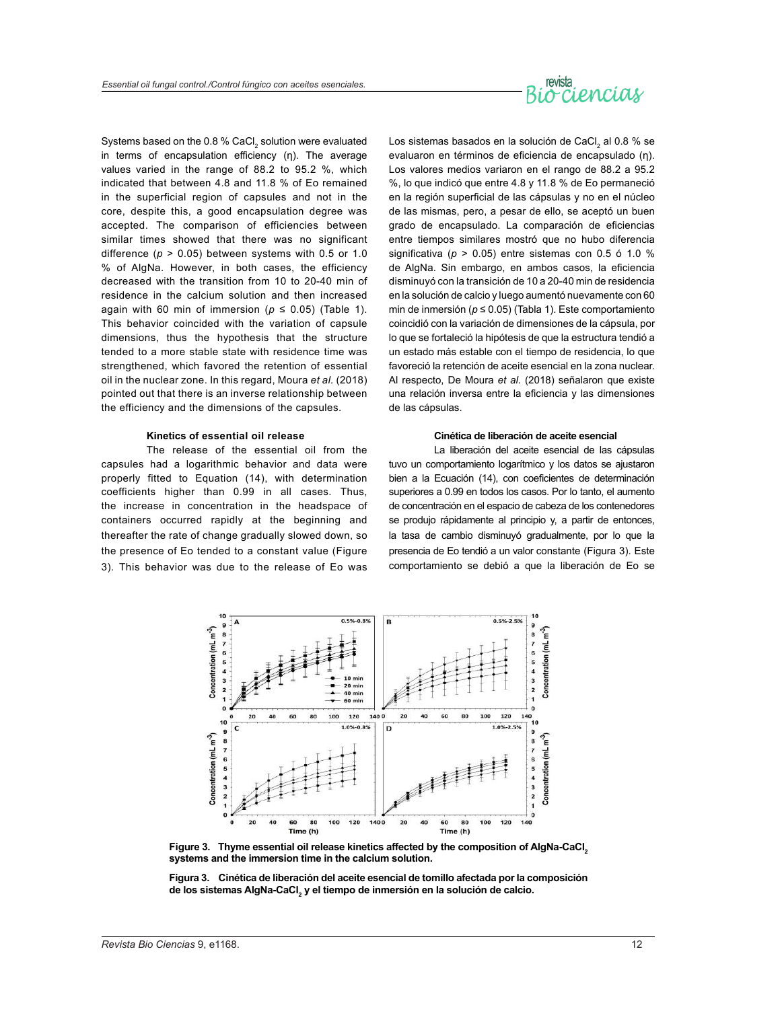# revista

Systems based on the 0.8 % CaCl $_{\textrm{\tiny{2}}}$  solution were evaluated in terms of encapsulation efficiency (η). The average values varied in the range of 88.2 to 95.2 %, which indicated that between 4.8 and 11.8 % of Eo remained in the superficial region of capsules and not in the core, despite this, a good encapsulation degree was accepted. The comparison of efficiencies between similar times showed that there was no significant difference (*p* > 0.05) between systems with 0.5 or 1.0 % of AlgNa. However, in both cases, the efficiency decreased with the transition from 10 to 20-40 min of residence in the calcium solution and then increased again with 60 min of immersion ( $p \le 0.05$ ) (Table 1). This behavior coincided with the variation of capsule dimensions, thus the hypothesis that the structure tended to a more stable state with residence time was strengthened, which favored the retention of essential oil in the nuclear zone. In this regard, Moura *et al.* (2018) pointed out that there is an inverse relationship between the efficiency and the dimensions of the capsules.

#### **Kinetics of essential oil release**

The release of the essential oil from the capsules had a logarithmic behavior and data were properly fitted to Equation (14), with determination coefficients higher than 0.99 in all cases. Thus, the increase in concentration in the headspace of containers occurred rapidly at the beginning and thereafter the rate of change gradually slowed down, so the presence of Eo tended to a constant value (Figure 3). This behavior was due to the release of Eo was

Los sistemas basados en la solución de CaCl $_{_2}$  al 0.8 % se evaluaron en términos de eficiencia de encapsulado (η). Los valores medios variaron en el rango de 88.2 a 95.2 %, lo que indicó que entre 4.8 y 11.8 % de Eo permaneció en la región superficial de las cápsulas y no en el núcleo de las mismas, pero, a pesar de ello, se aceptó un buen grado de encapsulado. La comparación de eficiencias entre tiempos similares mostró que no hubo diferencia significativa (*p* > 0.05) entre sistemas con 0.5 ó 1.0 % de AlgNa. Sin embargo, en ambos casos, la eficiencia disminuyó con la transición de 10 a 20-40 min de residencia en la solución de calcio y luego aumentó nuevamente con 60 min de inmersión (*p* ≤ 0.05) (Tabla 1). Este comportamiento coincidió con la variación de dimensiones de la cápsula, por lo que se fortaleció la hipótesis de que la estructura tendió a un estado más estable con el tiempo de residencia, lo que favoreció la retención de aceite esencial en la zona nuclear. Al respecto, De Moura *et al.* (2018) señalaron que existe una relación inversa entre la eficiencia y las dimensiones de las cápsulas.

#### **Cinética de liberación de aceite esencial**

La liberación del aceite esencial de las cápsulas tuvo un comportamiento logarítmico y los datos se ajustaron bien a la Ecuación (14), con coeficientes de determinación superiores a 0.99 en todos los casos. Por lo tanto, el aumento de concentración en el espacio de cabeza de los contenedores se produjo rápidamente al principio y, a partir de entonces, la tasa de cambio disminuyó gradualmente, por lo que la presencia de Eo tendió a un valor constante (Figura 3). Este comportamiento se debió a que la liberación de Eo se



**Figure 3. Thyme essential oil release kinetics affected by the composition of AlgNa-CaCl<sup>2</sup> systems and the immersion time in the calcium solution.**

**Figura 3. Cinética de liberación del aceite esencial de tomillo afectada por la composición de los sistemas AlgNa-CaCl<sup>2</sup> y el tiempo de inmersión en la solución de calcio.**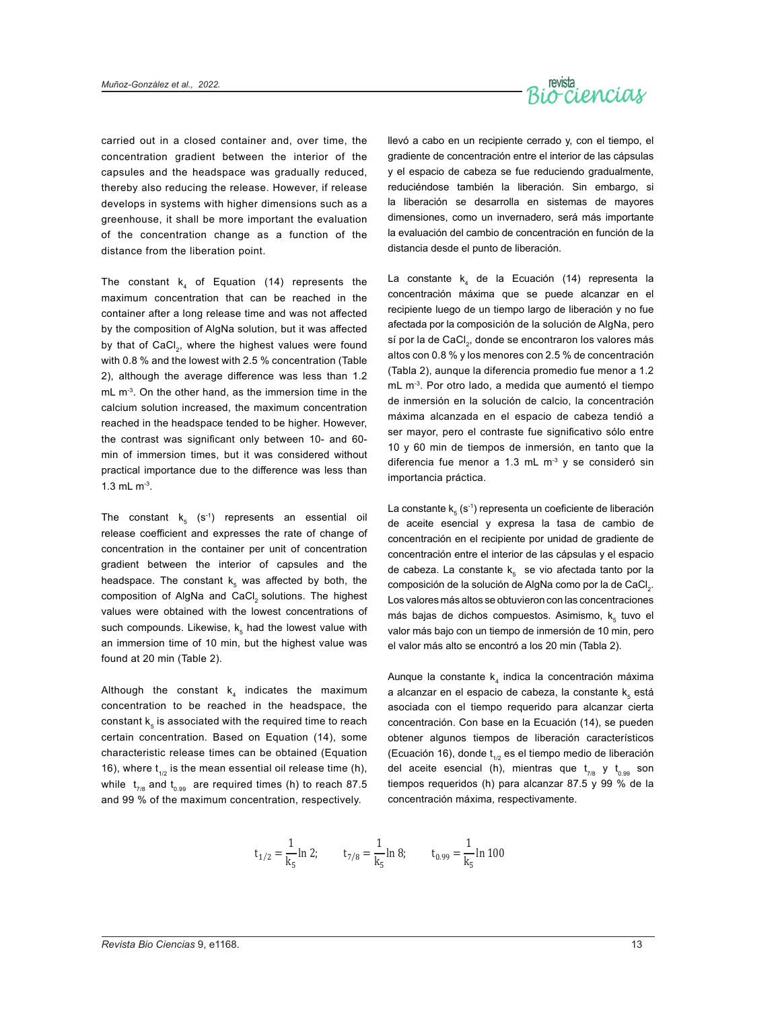

carried out in a closed container and, over time, the concentration gradient between the interior of the capsules and the headspace was gradually reduced, thereby also reducing the release. However, if release develops in systems with higher dimensions such as a greenhouse, it shall be more important the evaluation of the concentration change as a function of the distance from the liberation point.

The constant  $k<sub>4</sub>$  of Equation (14) represents the maximum concentration that can be reached in the container after a long release time and was not affected by the composition of AlgNa solution, but it was affected by that of CaCl<sub>2</sub>, where the highest values were found with 0.8 % and the lowest with 2.5 % concentration (Table 2), although the average difference was less than 1.2  $mL$  m<sup>-3</sup>. On the other hand, as the immersion time in the calcium solution increased, the maximum concentration reached in the headspace tended to be higher. However, the contrast was significant only between 10- and 60 min of immersion times, but it was considered without practical importance due to the difference was less than 1.3 mL m-3.

The constant  ${\sf k}_{{}_5}$  (s $^{\text{-}1})$  represents an essential oil release coefficient and expresses the rate of change of concentration in the container per unit of concentration gradient between the interior of capsules and the headspace. The constant  $\mathsf{k}_\mathsf{s}$  was affected by both, the composition of AlgNa and CaCl<sub>2</sub> solutions. The highest values were obtained with the lowest concentrations of such compounds. Likewise,  $\mathsf{k}_\mathfrak{s}$  had the lowest value with an immersion time of 10 min, but the highest value was found at 20 min (Table 2).

Although the constant  $k_4$  indicates the maximum concentration to be reached in the headspace, the constant  $k<sub>s</sub>$  is associated with the required time to reach certain concentration. Based on Equation (14), some characteristic release times can be obtained (Equation 16), where  $t_{1/2}$  is the mean essential oil release time (h), while  $\rm~t_{_{7/8}}$  and  $\rm~t_{_{0.99}}$  are required times (h) to reach 87.5 and 99 % of the maximum concentration, respectively.

llevó a cabo en un recipiente cerrado y, con el tiempo, el gradiente de concentración entre el interior de las cápsulas y el espacio de cabeza se fue reduciendo gradualmente, reduciéndose también la liberación. Sin embargo, si la liberación se desarrolla en sistemas de mayores dimensiones, como un invernadero, será más importante la evaluación del cambio de concentración en función de la distancia desde el punto de liberación.

La constante k $_4$  de la Ecuación (14) representa la concentración máxima que se puede alcanzar en el recipiente luego de un tiempo largo de liberación y no fue afectada por la composición de la solución de AlgNa, pero sí por la de CaCl, donde se encontraron los valores más altos con 0.8 % y los menores con 2.5 % de concentración (Tabla 2), aunque la diferencia promedio fue menor a 1.2 mL m-3. Por otro lado, a medida que aumentó el tiempo de inmersión en la solución de calcio, la concentración máxima alcanzada en el espacio de cabeza tendió a ser mayor, pero el contraste fue significativo sólo entre 10 y 60 min de tiempos de inmersión, en tanto que la diferencia fue menor a 1.3 mL  $m<sup>-3</sup>$  y se consideró sin importancia práctica.

La constante k $_{\rm 5}$  (s<sup>-1</sup>) representa un coeficiente de liberación de aceite esencial y expresa la tasa de cambio de concentración en el recipiente por unidad de gradiente de concentración entre el interior de las cápsulas y el espacio de cabeza. La constante  $k_5$  se vio afectada tanto por la composición de la solución de AlgNa como por la de CaCl $_{\textrm{\tiny{2}}}$ . Los valores más altos se obtuvieron con las concentraciones más bajas de dichos compuestos. Asimismo,  $k_{5}$  tuvo el valor más bajo con un tiempo de inmersión de 10 min, pero el valor más alto se encontró a los 20 min (Tabla 2).

Aunque la constante  $k_4$  indica la concentración máxima a alcanzar en el espacio de cabeza, la constante  $\mathsf{k}_\mathfrak{s}$  está asociada con el tiempo requerido para alcanzar cierta concentración. Con base en la Ecuación (14), se pueden obtener algunos tiempos de liberación característicos (Ecuación 16), donde  $t_{1/2}$  es el tiempo medio de liberación del aceite esencial (h), mientras que  $t_{7/8}$  y  $t_{0.99}$  son tiempos requeridos (h) para alcanzar 87.5 y 99 % de la concentración máxima, respectivamente.

$$
t_{1/2} = \frac{1}{k_5} \ln 2;
$$
  $t_{7/8} = \frac{1}{k_5} \ln 8;$   $t_{0.99} = \frac{1}{k_5} \ln 100$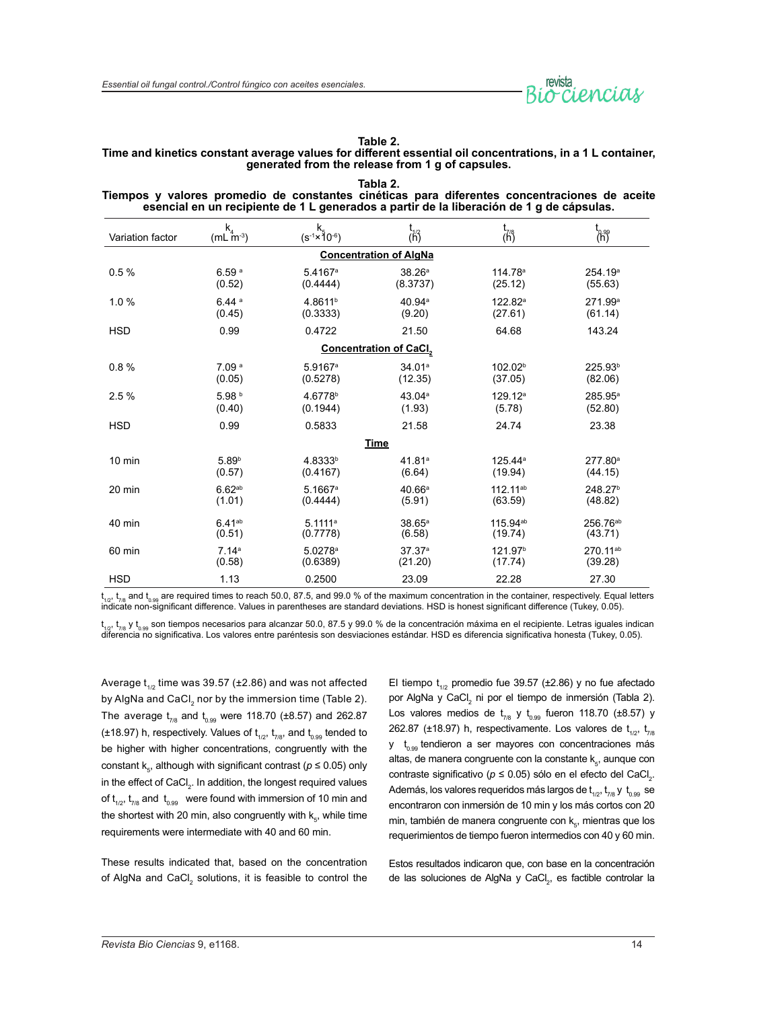

#### **Table 2.**

### **Time and kinetics constant average values for different essential oil concentrations, in a 1 L container, generated from the release from 1 g of capsules. Tabla 2.**

| Tiempos y valores promedio de constantes cinéticas para diferentes concentraciones de aceite<br>esencial en un recipiente de 1 L generados a partir de la liberación de 1 g de cápsulas. |                                    |                                               |                               |                        |                            |
|------------------------------------------------------------------------------------------------------------------------------------------------------------------------------------------|------------------------------------|-----------------------------------------------|-------------------------------|------------------------|----------------------------|
| Variation factor                                                                                                                                                                         | $k_{4}$<br>$(mL \, \text{m}^{-3})$ | $k_5$<br>(s <sup>-1</sup> ×10 <sup>-6</sup> ) | t<br>(h)                      | $\overline{(\vec{h})}$ | $\bigoplus_{n=1}^{\infty}$ |
|                                                                                                                                                                                          |                                    |                                               | <b>Concentration of AlgNa</b> |                        |                            |
| 0.5%                                                                                                                                                                                     | 6.59 <sup>a</sup>                  | 5.4167 <sup>a</sup>                           | 38.26a                        | 114.78 <sup>a</sup>    | 254.19 <sup>a</sup>        |
|                                                                                                                                                                                          | (0.52)                             | (0.4444)                                      | (8.3737)                      | (25.12)                | (55.63)                    |
| 1.0%                                                                                                                                                                                     | 6.44a                              | 4.8611 <sup>b</sup>                           | 40.94 <sup>a</sup>            | 122.82 <sup>a</sup>    | 271.99 <sup>a</sup>        |
|                                                                                                                                                                                          | (0.45)                             | (0.3333)                                      | (9.20)                        | (27.61)                | (61.14)                    |
| <b>HSD</b>                                                                                                                                                                               | 0.99                               | 0.4722                                        | 21.50                         | 64.68                  | 143.24                     |
|                                                                                                                                                                                          |                                    |                                               | Concentration of CaCl2        |                        |                            |
| 0.8%                                                                                                                                                                                     | 7.09 <sup>a</sup>                  | 5.9167 <sup>a</sup>                           | 34.01a                        | 102.02 <sup>b</sup>    | 225.93 <sup>b</sup>        |
|                                                                                                                                                                                          | (0.05)                             | (0.5278)                                      | (12.35)                       | (37.05)                | (82.06)                    |
| 2.5%                                                                                                                                                                                     | 5.98 <sup>b</sup>                  | 4.6778 <sup>b</sup>                           | 43.04a                        | 129.12 <sup>a</sup>    | $285.95^{\circ}$           |
|                                                                                                                                                                                          | (0.40)                             | (0.1944)                                      | (1.93)                        | (5.78)                 | (52.80)                    |
| <b>HSD</b>                                                                                                                                                                               | 0.99                               | 0.5833                                        | 21.58                         | 24.74                  | 23.38                      |
|                                                                                                                                                                                          |                                    |                                               | <b>Time</b>                   |                        |                            |
| $10$ min                                                                                                                                                                                 | 5.89 <sup>b</sup>                  | 4.8333b                                       | 41.81a                        | 125.44 <sup>a</sup>    | 277.80 <sup>a</sup>        |
|                                                                                                                                                                                          | (0.57)                             | (0.4167)                                      | (6.64)                        | (19.94)                | (44.15)                    |
| 20 min                                                                                                                                                                                   | 6.62 <sup>ab</sup>                 | $5.1667$ <sup>a</sup>                         | 40.66a                        | 112.11 <sup>ab</sup>   | 248.27 <sup>b</sup>        |
|                                                                                                                                                                                          | (1.01)                             | (0.4444)                                      | (5.91)                        | (63.59)                | (48.82)                    |
| 40 min                                                                                                                                                                                   | 6.41 <sup>ab</sup>                 | 5.1111a                                       | $38.65^{\circ}$               | 115.94 <sup>ab</sup>   | 256.76 <sup>ab</sup>       |
|                                                                                                                                                                                          | (0.51)                             | (0.7778)                                      | (6.58)                        | (19.74)                | (43.71)                    |
| 60 min                                                                                                                                                                                   | 7.14a                              | $5.0278$ <sup>a</sup>                         | 37.37a                        | 121.97 <sup>b</sup>    | 270.11 <sup>ab</sup>       |
|                                                                                                                                                                                          | (0.58)                             | (0.6389)                                      | (21.20)                       | (17.74)                | (39.28)                    |
| <b>HSD</b>                                                                                                                                                                               | 1.13                               | 0.2500                                        | 23.09                         | 22.28                  | 27.30                      |

t<sub>າເ</sub>,, t<sub>/is</sub> and t<sub>oss</sub> are required times to reach 50.0, 87.5, and 99.0 % of the maximum concentration in the container, respectively. Equal letters<br>indicate non-significant difference. Values in parentheses are standar

t<sub>1/2</sub>, t<sub>//8</sub> y t<sub>o.99</sub> son tiempos necesarios para alcanzar 50.0, 87.5 y 99.0 % de la concentración máxima en el recipiente. Letras iguales indican diferencia no significativa. Los valores entre paréntesis son desviaciones estándar. HSD es diferencia significativa honesta (Tukey, 0.05).

Average t<sub>1/2</sub> time was 39.57 (±2.86) and was not affected by AlgNa and CaCl<sub>2</sub> nor by the immersion time (Table 2). The average  $t_{7/8}$  and  $t_{0.99}$  were 118.70 (±8.57) and 262.87 ( $\pm$ 18.97) h, respectively. Values of  $t_{1/2}$ ,  $t_{7/8}$ , and  $t_{0.99}$  tended to be higher with higher concentrations, congruently with the constant k<sub>s</sub>, although with significant contrast ( $p \le 0.05$ ) only in the effect of CaCl $_{\textrm{\tiny{2}}}$ . In addition, the longest required values of  $t_{1/2}$ ,  $t_{7/8}$  and  $t_{0.99}$  were found with immersion of 10 min and the shortest with 20 min, also congruently with  $\mathsf{k}_\mathsf{s}$ , while time requirements were intermediate with 40 and 60 min.

These results indicated that, based on the concentration of AlgNa and CaCl $_2$  solutions, it is feasible to control the El tiempo  $t_{1/2}$  promedio fue 39.57 (±2.86) y no fue afectado por AlgNa y CaCl<sub>2</sub> ni por el tiempo de inmersión (Tabla 2). Los valores medios de  $t_{7/8}$  y  $t_{0.99}$  fueron 118.70 (±8.57) y 262.87 ( $\pm$ 18.97) h, respectivamente. Los valores de  $t_{1/2}$ ,  $t_{7/8}$  $y$  t<sub>0.99</sub> tendieron a ser mayores con concentraciones más altas, de manera congruente con la constante  $\mathsf{k}_\mathsf{s}$ , aunque con contraste significativo ( $p \le 0.05$ ) sólo en el efecto del CaCl<sub>2</sub>. Además, los valores requeridos más largos de  $t_{1/2}$ ,  $t_{7/8}$  y  $t_{0.99}$  se encontraron con inmersión de 10 min y los más cortos con 20 min, también de manera congruente con  $k_{\rm s}$ , mientras que los requerimientos de tiempo fueron intermedios con 40 y 60 min.

Estos resultados indicaron que, con base en la concentración de las soluciones de AlgNa y CaCl<sub>2</sub>, es factible controlar la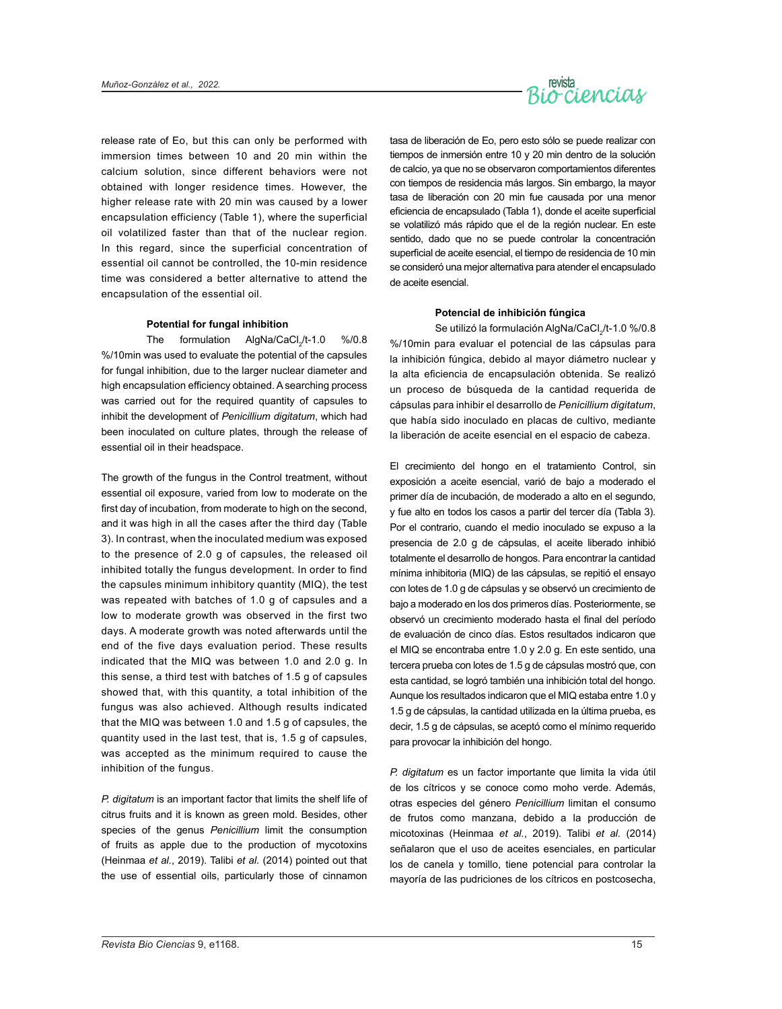

release rate of Eo, but this can only be performed with immersion times between 10 and 20 min within the calcium solution, since different behaviors were not obtained with longer residence times. However, the higher release rate with 20 min was caused by a lower encapsulation efficiency (Table 1), where the superficial oil volatilized faster than that of the nuclear region. In this regard, since the superficial concentration of essential oil cannot be controlled, the 10-min residence time was considered a better alternative to attend the encapsulation of the essential oil.

#### **Potential for fungal inhibition**

The formulation AlgNa/CaCl<sub>2</sub>/t-1.0 %/0.8 %/10min was used to evaluate the potential of the capsules for fungal inhibition, due to the larger nuclear diameter and high encapsulation efficiency obtained. A searching process was carried out for the required quantity of capsules to inhibit the development of *Penicillium digitatum*, which had been inoculated on culture plates, through the release of essential oil in their headspace.

The growth of the fungus in the Control treatment, without essential oil exposure, varied from low to moderate on the first day of incubation, from moderate to high on the second, and it was high in all the cases after the third day (Table 3). In contrast, when the inoculated medium was exposed to the presence of 2.0 g of capsules, the released oil inhibited totally the fungus development. In order to find the capsules minimum inhibitory quantity (MIQ), the test was repeated with batches of 1.0 g of capsules and a low to moderate growth was observed in the first two days. A moderate growth was noted afterwards until the end of the five days evaluation period. These results indicated that the MIQ was between 1.0 and 2.0 g. In this sense, a third test with batches of 1.5 g of capsules showed that, with this quantity, a total inhibition of the fungus was also achieved. Although results indicated that the MIQ was between 1.0 and 1.5 g of capsules, the quantity used in the last test, that is, 1.5 g of capsules, was accepted as the minimum required to cause the inhibition of the fungus.

*P. digitatum* is an important factor that limits the shelf life of citrus fruits and it is known as green mold. Besides, other species of the genus *Penicillium* limit the consumption of fruits as apple due to the production of mycotoxins (Heinmaa *et al.*, 2019). Talibi *et al.* (2014) pointed out that the use of essential oils, particularly those of cinnamon

tasa de liberación de Eo, pero esto sólo se puede realizar con tiempos de inmersión entre 10 y 20 min dentro de la solución de calcio, ya que no se observaron comportamientos diferentes con tiempos de residencia más largos. Sin embargo, la mayor tasa de liberación con 20 min fue causada por una menor eficiencia de encapsulado (Tabla 1), donde el aceite superficial se volatilizó más rápido que el de la región nuclear. En este sentido, dado que no se puede controlar la concentración superficial de aceite esencial, el tiempo de residencia de 10 min se consideró una mejor alternativa para atender el encapsulado de aceite esencial.

#### **Potencial de inhibición fúngica**

Se utilizó la formulación AlgNa/CaCl<sub>2</sub>/t-1.0 %/0.8 %/10min para evaluar el potencial de las cápsulas para la inhibición fúngica, debido al mayor diámetro nuclear y la alta eficiencia de encapsulación obtenida. Se realizó un proceso de búsqueda de la cantidad requerida de cápsulas para inhibir el desarrollo de *Penicillium digitatum*, que había sido inoculado en placas de cultivo, mediante la liberación de aceite esencial en el espacio de cabeza.

El crecimiento del hongo en el tratamiento Control, sin exposición a aceite esencial, varió de bajo a moderado el primer día de incubación, de moderado a alto en el segundo, y fue alto en todos los casos a partir del tercer día (Tabla 3). Por el contrario, cuando el medio inoculado se expuso a la presencia de 2.0 g de cápsulas, el aceite liberado inhibió totalmente el desarrollo de hongos. Para encontrar la cantidad mínima inhibitoria (MIQ) de las cápsulas, se repitió el ensayo con lotes de 1.0 g de cápsulas y se observó un crecimiento de bajo a moderado en los dos primeros días. Posteriormente, se observó un crecimiento moderado hasta el final del período de evaluación de cinco días. Estos resultados indicaron que el MIQ se encontraba entre 1.0 y 2.0 g. En este sentido, una tercera prueba con lotes de 1.5 g de cápsulas mostró que, con esta cantidad, se logró también una inhibición total del hongo. Aunque los resultados indicaron que el MIQ estaba entre 1.0 y 1.5 g de cápsulas, la cantidad utilizada en la última prueba, es decir, 1.5 g de cápsulas, se aceptó como el mínimo requerido para provocar la inhibición del hongo.

*P. digitatum* es un factor importante que limita la vida útil de los cítricos y se conoce como moho verde. Además, otras especies del género *Penicillium* limitan el consumo de frutos como manzana, debido a la producción de micotoxinas (Heinmaa *et al.*, 2019). Talibi *et al.* (2014) señalaron que el uso de aceites esenciales, en particular los de canela y tomillo, tiene potencial para controlar la mayoría de las pudriciones de los cítricos en postcosecha,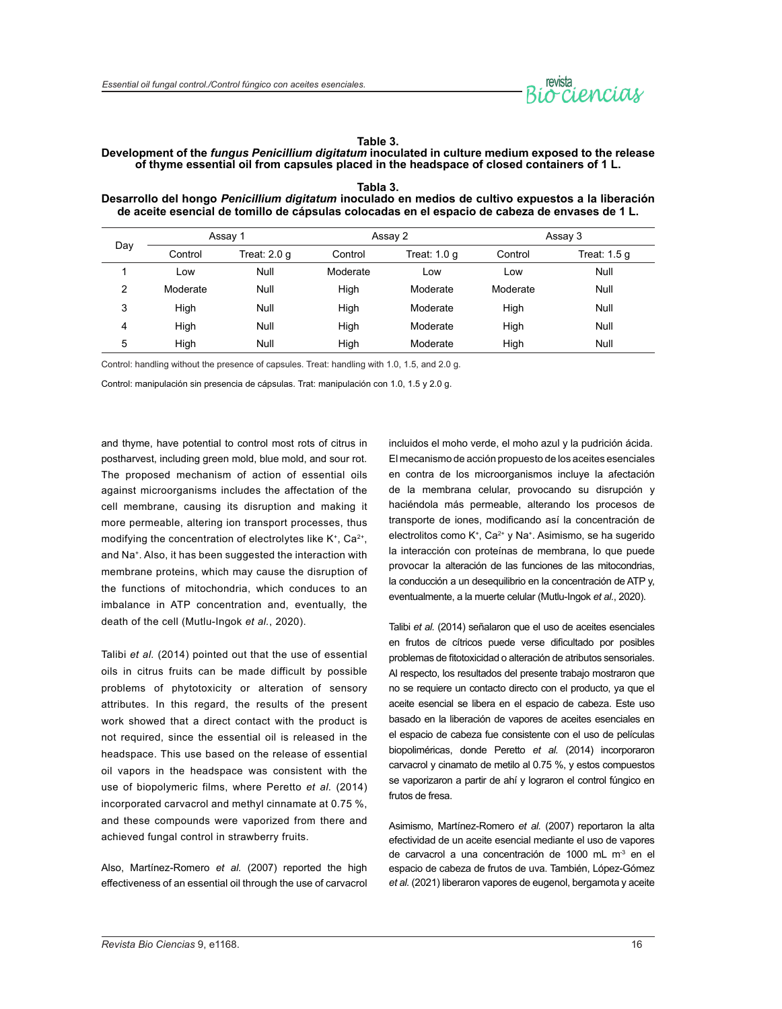

#### **Table 3.**

#### **Development of the** *fungus Penicillium digitatum* **inoculated in culture medium exposed to the release of thyme essential oil from capsules placed in the headspace of closed containers of 1 L.**

| de acelle esencial de tomino de capsulas colocadas en el espació de capeza de envases de 1 L. |          |                |          |              |          |              |  |
|-----------------------------------------------------------------------------------------------|----------|----------------|----------|--------------|----------|--------------|--|
| Day                                                                                           | Assay 1  |                | Assay 2  |              | Assay 3  |              |  |
|                                                                                               | Control  | Treat: $2.0 g$ | Control  | Treat: 1.0 q | Control  | Treat: 1.5 q |  |
|                                                                                               | Low      | Null           | Moderate | Low          | Low      | Null         |  |
| 2                                                                                             | Moderate | Null           | High     | Moderate     | Moderate | Null         |  |
| 3                                                                                             | High     | Null           | High     | Moderate     | High     | Null         |  |
| 4                                                                                             | High     | Null           | High     | Moderate     | High     | Null         |  |
| 5                                                                                             | High     | Null           | High     | Moderate     | High     | Null         |  |

**Tabla 3. Desarrollo del hongo** *Penicillium digitatum* **inoculado en medios de cultivo expuestos a la liberación de aceite esencial de tomillo de cápsulas colocadas en el espacio de cabeza de envases de 1 L.**

Control: handling without the presence of capsules. Treat: handling with 1.0, 1.5, and 2.0 g.

Control: manipulación sin presencia de cápsulas. Trat: manipulación con 1.0, 1.5 y 2.0 g.

and thyme, have potential to control most rots of citrus in postharvest, including green mold, blue mold, and sour rot. The proposed mechanism of action of essential oils against microorganisms includes the affectation of the cell membrane, causing its disruption and making it more permeable, altering ion transport processes, thus modifying the concentration of electrolytes like  $K^*$ , Ca<sup>2+</sup>, and Na<sup>+</sup>. Also, it has been suggested the interaction with membrane proteins, which may cause the disruption of the functions of mitochondria, which conduces to an imbalance in ATP concentration and, eventually, the death of the cell (Mutlu-Ingok *et al.*, 2020).

Talibi *et al.* (2014) pointed out that the use of essential oils in citrus fruits can be made difficult by possible problems of phytotoxicity or alteration of sensory attributes. In this regard, the results of the present work showed that a direct contact with the product is not required, since the essential oil is released in the headspace. This use based on the release of essential oil vapors in the headspace was consistent with the use of biopolymeric films, where Peretto *et al.* (2014) incorporated carvacrol and methyl cinnamate at 0.75 %, and these compounds were vaporized from there and achieved fungal control in strawberry fruits.

Also, Martínez-Romero *et al.* (2007) reported the high effectiveness of an essential oil through the use of carvacrol incluidos el moho verde, el moho azul y la pudrición ácida. El mecanismo de acción propuesto de los aceites esenciales en contra de los microorganismos incluye la afectación de la membrana celular, provocando su disrupción y haciéndola más permeable, alterando los procesos de transporte de iones, modificando así la concentración de electrolitos como K<sup>+</sup>, Ca<sup>2+</sup> y Na<sup>+</sup>. Asimismo, se ha sugerido la interacción con proteínas de membrana, lo que puede provocar la alteración de las funciones de las mitocondrias, la conducción a un desequilibrio en la concentración de ATP y, eventualmente, a la muerte celular (Mutlu-Ingok *et al.*, 2020).

Talibi *et al.* (2014) señalaron que el uso de aceites esenciales en frutos de cítricos puede verse dificultado por posibles problemas de fitotoxicidad o alteración de atributos sensoriales. Al respecto, los resultados del presente trabajo mostraron que no se requiere un contacto directo con el producto, ya que el aceite esencial se libera en el espacio de cabeza. Este uso basado en la liberación de vapores de aceites esenciales en el espacio de cabeza fue consistente con el uso de películas biopoliméricas, donde Peretto *et al.* (2014) incorporaron carvacrol y cinamato de metilo al 0.75 %, y estos compuestos se vaporizaron a partir de ahí y lograron el control fúngico en frutos de fresa.

Asimismo, Martínez-Romero *et al.* (2007) reportaron la alta efectividad de un aceite esencial mediante el uso de vapores de carvacrol a una concentración de 1000 mL m<sup>3</sup> en el espacio de cabeza de frutos de uva. También, López-Gómez *et al.* (2021) liberaron vapores de eugenol, bergamota y aceite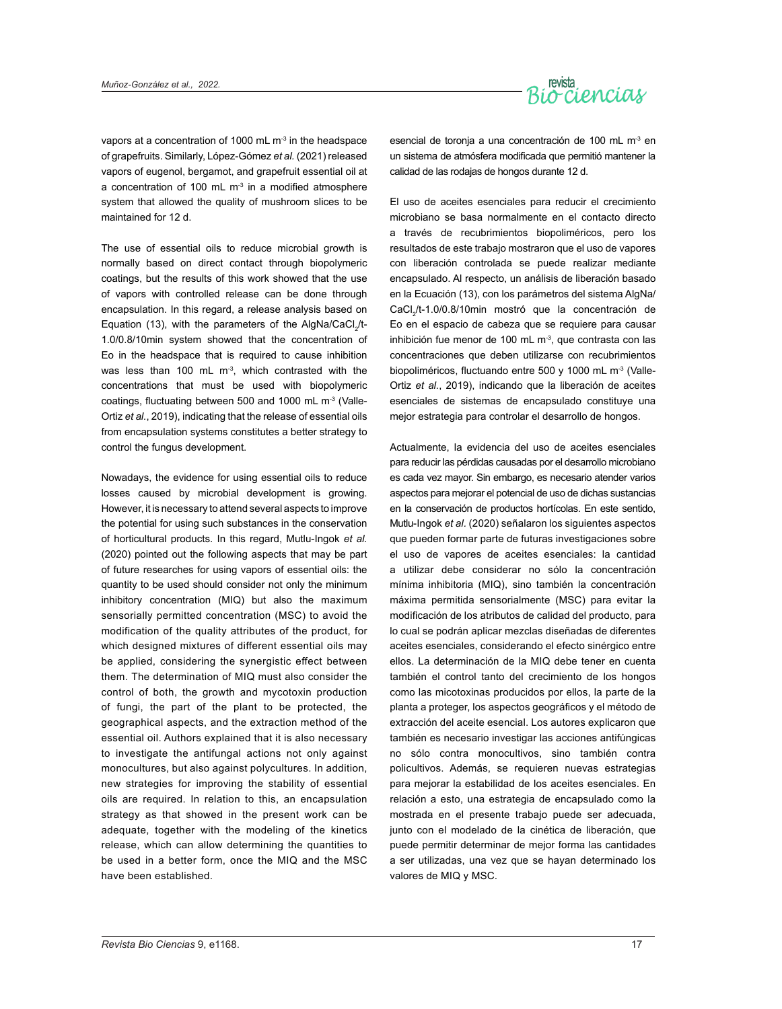

vapors at a concentration of 1000 mL  $m<sup>3</sup>$  in the headspace of grapefruits. Similarly, López-Gómez *et al.* (2021) released vapors of eugenol, bergamot, and grapefruit essential oil at a concentration of 100 mL  $m<sup>3</sup>$  in a modified atmosphere system that allowed the quality of mushroom slices to be maintained for 12 d.

The use of essential oils to reduce microbial growth is normally based on direct contact through biopolymeric coatings, but the results of this work showed that the use of vapors with controlled release can be done through encapsulation. In this regard, a release analysis based on Equation (13), with the parameters of the AlgNa/CaCl $_2^{\prime}$ t-1.0/0.8/10min system showed that the concentration of Eo in the headspace that is required to cause inhibition was less than 100 mL  $m<sup>3</sup>$ , which contrasted with the concentrations that must be used with biopolymeric coatings, fluctuating between 500 and 1000 mL m-3 (Valle-Ortiz *et al.*, 2019), indicating that the release of essential oils from encapsulation systems constitutes a better strategy to control the fungus development.

Nowadays, the evidence for using essential oils to reduce losses caused by microbial development is growing. However, it is necessary to attend several aspects to improve the potential for using such substances in the conservation of horticultural products. In this regard, Mutlu-Ingok *et al.* (2020) pointed out the following aspects that may be part of future researches for using vapors of essential oils: the quantity to be used should consider not only the minimum inhibitory concentration (MIQ) but also the maximum sensorially permitted concentration (MSC) to avoid the modification of the quality attributes of the product, for which designed mixtures of different essential oils may be applied, considering the synergistic effect between them. The determination of MIQ must also consider the control of both, the growth and mycotoxin production of fungi, the part of the plant to be protected, the geographical aspects, and the extraction method of the essential oil. Authors explained that it is also necessary to investigate the antifungal actions not only against monocultures, but also against polycultures. In addition, new strategies for improving the stability of essential oils are required. In relation to this, an encapsulation strategy as that showed in the present work can be adequate, together with the modeling of the kinetics release, which can allow determining the quantities to be used in a better form, once the MIQ and the MSC have been established.

esencial de toronja a una concentración de 100 mL m<sup>-3</sup> en un sistema de atmósfera modificada que permitió mantener la calidad de las rodajas de hongos durante 12 d.

El uso de aceites esenciales para reducir el crecimiento microbiano se basa normalmente en el contacto directo a través de recubrimientos biopoliméricos, pero los resultados de este trabajo mostraron que el uso de vapores con liberación controlada se puede realizar mediante encapsulado. Al respecto, un análisis de liberación basado en la Ecuación (13), con los parámetros del sistema AlgNa/ CaCl<sub>2</sub>/t-1.0/0.8/10min mostró que la concentración de Eo en el espacio de cabeza que se requiere para causar inhibición fue menor de 100 mL m $3$ , que contrasta con las concentraciones que deben utilizarse con recubrimientos biopoliméricos, fluctuando entre 500 y 1000 mL m-3 (Valle-Ortiz *et al.*, 2019), indicando que la liberación de aceites esenciales de sistemas de encapsulado constituye una mejor estrategia para controlar el desarrollo de hongos.

Actualmente, la evidencia del uso de aceites esenciales para reducir las pérdidas causadas por el desarrollo microbiano es cada vez mayor. Sin embargo, es necesario atender varios aspectos para mejorar el potencial de uso de dichas sustancias en la conservación de productos hortícolas. En este sentido, Mutlu-Ingok *et al.* (2020) señalaron los siguientes aspectos que pueden formar parte de futuras investigaciones sobre el uso de vapores de aceites esenciales: la cantidad a utilizar debe considerar no sólo la concentración mínima inhibitoria (MIQ), sino también la concentración máxima permitida sensorialmente (MSC) para evitar la modificación de los atributos de calidad del producto, para lo cual se podrán aplicar mezclas diseñadas de diferentes aceites esenciales, considerando el efecto sinérgico entre ellos. La determinación de la MIQ debe tener en cuenta también el control tanto del crecimiento de los hongos como las micotoxinas producidos por ellos, la parte de la planta a proteger, los aspectos geográficos y el método de extracción del aceite esencial. Los autores explicaron que también es necesario investigar las acciones antifúngicas no sólo contra monocultivos, sino también contra policultivos. Además, se requieren nuevas estrategias para mejorar la estabilidad de los aceites esenciales. En relación a esto, una estrategia de encapsulado como la mostrada en el presente trabajo puede ser adecuada, junto con el modelado de la cinética de liberación, que puede permitir determinar de mejor forma las cantidades a ser utilizadas, una vez que se hayan determinado los valores de MIQ y MSC.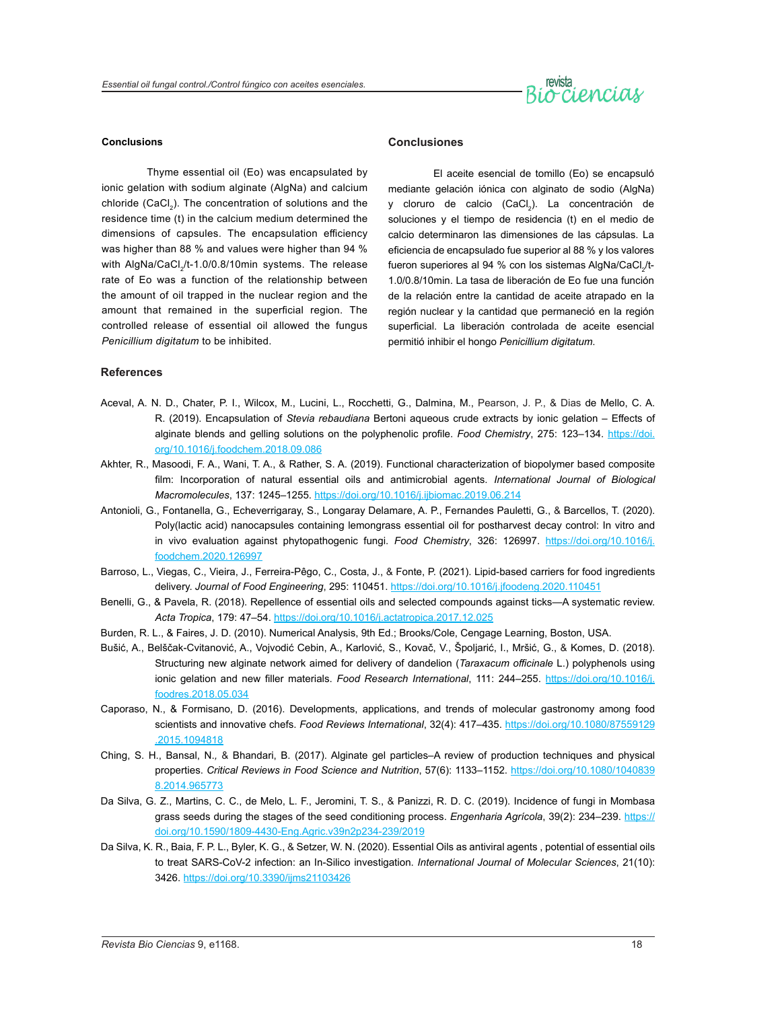

#### **Conclusions**

Thyme essential oil (Eo) was encapsulated by ionic gelation with sodium alginate (AlgNa) and calcium chloride (CaCl<sub>2</sub>). The concentration of solutions and the residence time (t) in the calcium medium determined the dimensions of capsules. The encapsulation efficiency was higher than 88 % and values were higher than 94 % with AlgNa/CaCl<sub>2</sub>/t-1.0/0.8/10min systems. The release rate of Eo was a function of the relationship between the amount of oil trapped in the nuclear region and the amount that remained in the superficial region. The controlled release of essential oil allowed the fungus *Penicillium digitatum* to be inhibited.

#### **Conclusiones**

El aceite esencial de tomillo (Eo) se encapsuló mediante gelación iónica con alginato de sodio (AlgNa) y cloruro de calcio (CaCl<sub>2</sub>). La concentración de soluciones y el tiempo de residencia (t) en el medio de calcio determinaron las dimensiones de las cápsulas. La eficiencia de encapsulado fue superior al 88 % y los valores fueron superiores al 94 % con los sistemas AlgNa/CaCl<sub>2</sub>/t-1.0/0.8/10min. La tasa de liberación de Eo fue una función de la relación entre la cantidad de aceite atrapado en la región nuclear y la cantidad que permaneció en la región superficial. La liberación controlada de aceite esencial permitió inhibir el hongo *Penicillium digitatum*.

#### **References**

- Aceval, A. N. D., Chater, P. I., Wilcox, M., Lucini, L., Rocchetti, G., Dalmina, M., Pearson, J. P., & Dias de Mello, C. A. R. (2019). Encapsulation of *Stevia rebaudiana* Bertoni aqueous crude extracts by ionic gelation – Effects of alginate blends and gelling solutions on the polyphenolic profile. *Food Chemistry*, 275: 123–134. [https://doi.](https://doi.org/10.1016/j.foodchem.2018.09.086) [org/10.1016/j.foodchem.2018.09.086](https://doi.org/10.1016/j.foodchem.2018.09.086)
- Akhter, R., Masoodi, F. A., Wani, T. A., & Rather, S. A. (2019). Functional characterization of biopolymer based composite film: Incorporation of natural essential oils and antimicrobial agents. *International Journal of Biological Macromolecules*, 137: 1245–1255.<https://doi.org/10.1016/j.ijbiomac.2019.06.214>
- Antonioli, G., Fontanella, G., Echeverrigaray, S., Longaray Delamare, A. P., Fernandes Pauletti, G., & Barcellos, T. (2020). Poly(lactic acid) nanocapsules containing lemongrass essential oil for postharvest decay control: In vitro and in vivo evaluation against phytopathogenic fungi. *Food Chemistry*, 326: 126997. [https://doi.org/10.1016/j.](https://doi.org/10.1016/j.foodchem.2020.126997) [foodchem.2020.126997](https://doi.org/10.1016/j.foodchem.2020.126997)
- Barroso, L., Viegas, C., Vieira, J., Ferreira-Pêgo, C., Costa, J., & Fonte, P. (2021). Lipid-based carriers for food ingredients delivery. *Journal of Food Engineering*, 295: 110451.<https://doi.org/10.1016/j.jfoodeng.2020.110451>
- Benelli, G., & Pavela, R. (2018). Repellence of essential oils and selected compounds against ticks—A systematic review. *Acta Tropica*, 179: 47–54. <https://doi.org/10.1016/j.actatropica.2017.12.025>
- Burden, R. L., & Faires, J. D. (2010). Numerical Analysis, 9th Ed.; Brooks/Cole, Cengage Learning, Boston, USA.
- Bušić, A., Belščak-Cvitanović, A., Vojvodić Cebin, A., Karlović, S., Kovač, V., Špoljarić, I., Mršić, G., & Komes, D. (2018). Structuring new alginate network aimed for delivery of dandelion (*Taraxacum officinale* L.) polyphenols using ionic gelation and new filler materials. *Food Research International*, 111: 244–255. [https://doi.org/10.1016/j.](https://doi.org/10.1016/j.foodres.2018.05.034) [foodres.2018.05.034](https://doi.org/10.1016/j.foodres.2018.05.034)
- Caporaso, N., & Formisano, D. (2016). Developments, applications, and trends of molecular gastronomy among food scientists and innovative chefs. *Food Reviews International*, 32(4): 417–435. [https://doi.org/10.1080/87559129](https://doi.org/10.1080/87559129.2015.1094818) [.2015.1094818](https://doi.org/10.1080/87559129.2015.1094818)
- Ching, S. H., Bansal, N.*,* & Bhandari, B. (2017). Alginate gel particles–A review of production techniques and physical properties. *Critical Reviews in Food Science and Nutrition*, 57(6): 1133–1152. [https://doi.org/10.1080/1040839](https://doi.org/10.1080/10408398.2014.965773) [8.2014.965773](https://doi.org/10.1080/10408398.2014.965773)
- Da Silva, G. Z., Martins, C. C., de Melo, L. F., Jeromini, T. S., & Panizzi, R. D. C. (2019). Incidence of fungi in Mombasa grass seeds during the stages of the seed conditioning process. *Engenharia Agrícola*, 39(2): 234–239. [https://](https://doi.org/10.1590/1809-4430-Eng.Agric.v39n2p234-239/2019) [doi.org/10.1590/1809-4430-Eng.Agric.v39n2p234-239/2019](https://doi.org/10.1590/1809-4430-Eng.Agric.v39n2p234-239/2019)
- Da Silva, K. R., Baia, F. P. L., Byler, K. G., & Setzer, W. N. (2020). Essential Oils as antiviral agents , potential of essential oils to treat SARS-CoV-2 infection: an In-Silico investigation. *International Journal of Molecular Sciences*, 21(10): 3426. <https://doi.org/10.3390/ijms21103426>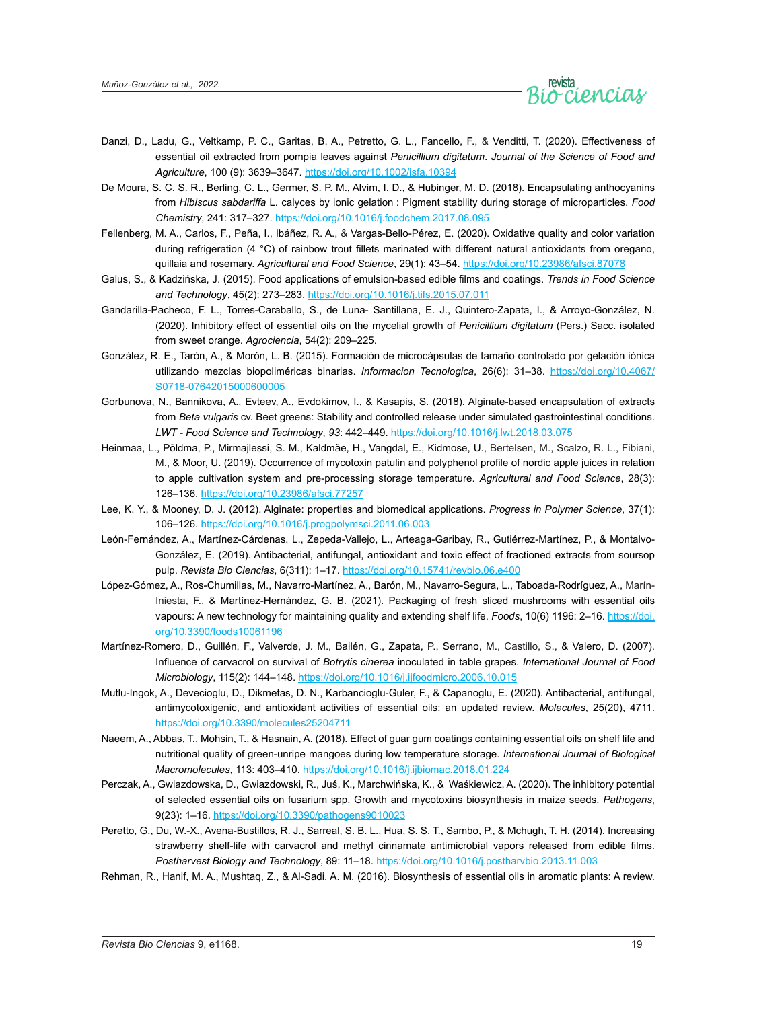

- Danzi, D., Ladu, G., Veltkamp, P. C., Garitas, B. A., Petretto, G. L., Fancello, F., & Venditti, T. (2020). Effectiveness of essential oil extracted from pompia leaves against *Penicillium digitatum*. *Journal of the Science of Food and Agriculture*, 100 (9): 3639–3647. <https://doi.org/10.1002/jsfa.10394>
- De Moura, S. C. S. R., Berling, C. L., Germer, S. P. M., Alvim, I. D., & Hubinger, M. D. (2018). Encapsulating anthocyanins from *Hibiscus sabdariffa* L. calyces by ionic gelation : Pigment stability during storage of microparticles. *Food Chemistry*, 241: 317–327. <https://doi.org/10.1016/j.foodchem.2017.08.095>
- Fellenberg, M. A., Carlos, F., Peña, I., Ibáñez, R. A., & Vargas-Bello-Pérez, E. (2020). Oxidative quality and color variation during refrigeration (4 °C) of rainbow trout fillets marinated with different natural antioxidants from oregano, quillaia and rosemary. *Agricultural and Food Science*, 29(1): 43–54. <https://doi.org/10.23986/afsci.87078>
- Galus, S., & Kadzińska, J. (2015). Food applications of emulsion-based edible films and coatings. *Trends in Food Science and Technology*, 45(2): 273–283.<https://doi.org/10.1016/j.tifs.2015.07.011>
- Gandarilla-Pacheco, F. L., Torres-Caraballo, S., de Luna- Santillana, E. J., Quintero-Zapata, I., & Arroyo-González, N. (2020). Inhibitory effect of essential oils on the mycelial growth of *Penicillium digitatum* (Pers.) Sacc. isolated from sweet orange. *Agrociencia*, 54(2): 209–225.
- González, R. E., Tarón, A., & Morón, L. B. (2015). Formación de microcápsulas de tamaño controlado por gelación iónica utilizando mezclas biopoliméricas binarias. *Informacion Tecnologica*, 26(6): 31–38. [https://doi.org/10.4067/](https://doi.org/10.4067/S0718-07642015000600005) [S0718-07642015000600005](https://doi.org/10.4067/S0718-07642015000600005)
- Gorbunova, N., Bannikova, A., Evteev, A., Evdokimov, I., & Kasapis, S. (2018). Alginate-based encapsulation of extracts from *Beta vulgaris* cv. Beet greens: Stability and controlled release under simulated gastrointestinal conditions. *LWT - Food Science and Technology*, *93*: 442–449.<https://doi.org/10.1016/j.lwt.2018.03.075>
- Heinmaa, L., Põldma, P., Mirmajlessi, S. M., Kaldmäe, H., Vangdal, E., Kidmose, U., Bertelsen, M., Scalzo, R. L., Fibiani, M., & Moor, U. (2019). Occurrence of mycotoxin patulin and polyphenol profile of nordic apple juices in relation to apple cultivation system and pre-processing storage temperature. *Agricultural and Food Science*, 28(3): 126–136.<https://doi.org/10.23986/afsci.77257>
- Lee, K. Y., & Mooney, D. J. (2012). Alginate: properties and biomedical applications. *Progress in Polymer Science*, 37(1): 106–126.<https://doi.org/10.1016/j.progpolymsci.2011.06.003>
- León-Fernández, A., Martínez-Cárdenas, L., Zepeda-Vallejo, L., Arteaga-Garibay, R., Gutiérrez-Martínez, P., & Montalvo-González, E. (2019). Antibacterial, antifungal, antioxidant and toxic effect of fractioned extracts from soursop pulp. *Revista Bio Ciencias*, 6(311): 1–17.<https://doi.org/10.15741/revbio.06.e400>
- López-Gómez, A., Ros-Chumillas, M., Navarro-Martínez, A., Barón, M., Navarro-Segura, L., Taboada-Rodríguez, A., Marín-Iniesta, F., & Martínez-Hernández, G. B. (2021). Packaging of fresh sliced mushrooms with essential oils vapours: A new technology for maintaining quality and extending shelf life. *Foods*, 10(6) 1196: 2–16. [https://doi.](https://doi.org/10.3390/foods10061196) [org/10.3390/foods10061196](https://doi.org/10.3390/foods10061196)
- Martínez-Romero, D., Guillén, F., Valverde, J. M., Bailén, G., Zapata, P., Serrano, M., Castillo, S., & Valero, D. (2007). Influence of carvacrol on survival of *Botrytis cinerea* inoculated in table grapes. *International Journal of Food Microbiology*, 115(2): 144–148. <https://doi.org/10.1016/j.ijfoodmicro.2006.10.015>
- Mutlu-Ingok, A., Devecioglu, D., Dikmetas, D. N., Karbancioglu-Guler, F., & Capanoglu, E. (2020). Antibacterial, antifungal, antimycotoxigenic, and antioxidant activities of essential oils: an updated review. *Molecules*, 25(20), 4711. <https://doi.org/10.3390/molecules25204711>
- Naeem, A., Abbas, T., Mohsin, T., & Hasnain, A. (2018). Effect of guar gum coatings containing essential oils on shelf life and nutritional quality of green-unripe mangoes during low temperature storage. *International Journal of Biological Macromolecules*, 113: 403–410.<https://doi.org/10.1016/j.ijbiomac.2018.01.224>
- Perczak, A., Gwiazdowska, D., Gwiazdowski, R., Juś, K., Marchwińska, K., & Waśkiewicz, A. (2020). The inhibitory potential of selected essential oils on fusarium spp. Growth and mycotoxins biosynthesis in maize seeds. *Pathogens*, 9(23): 1–16.<https://doi.org/10.3390/pathogens9010023>
- Peretto, G., Du, W.-X., Avena-Bustillos, R. J., Sarreal, S. B. L., Hua, S. S. T., Sambo, P., & Mchugh, T. H. (2014). Increasing strawberry shelf-life with carvacrol and methyl cinnamate antimicrobial vapors released from edible films. *Postharvest Biology and Technology*, 89: 11–18. <https://doi.org/10.1016/j.postharvbio.2013.11.003>
- Rehman, R., Hanif, M. A., Mushtaq, Z., & Al-Sadi, A. M. (2016). Biosynthesis of essential oils in aromatic plants: A review.